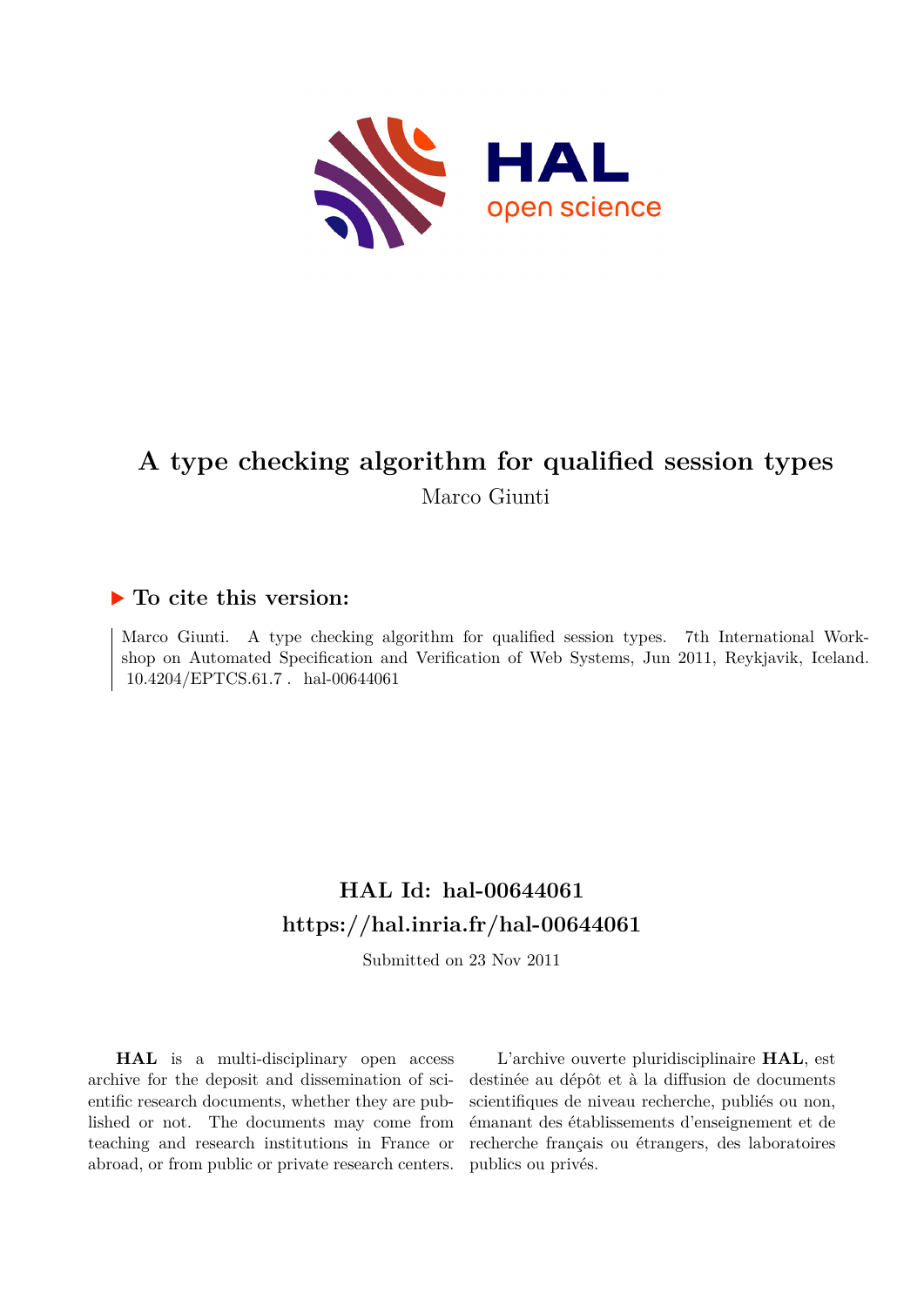

# **A type checking algorithm for qualified session types** Marco Giunti

## **To cite this version:**

Marco Giunti. A type checking algorithm for qualified session types. 7th International Workshop on Automated Specification and Verification of Web Systems, Jun 2011, Reykjavik, Iceland. 10.4204/EPTCS.61.7 hal-00644061

# **HAL Id: hal-00644061 <https://hal.inria.fr/hal-00644061>**

Submitted on 23 Nov 2011

**HAL** is a multi-disciplinary open access archive for the deposit and dissemination of scientific research documents, whether they are published or not. The documents may come from teaching and research institutions in France or abroad, or from public or private research centers.

L'archive ouverte pluridisciplinaire **HAL**, est destinée au dépôt et à la diffusion de documents scientifiques de niveau recherche, publiés ou non, émanant des établissements d'enseignement et de recherche français ou étrangers, des laboratoires publics ou privés.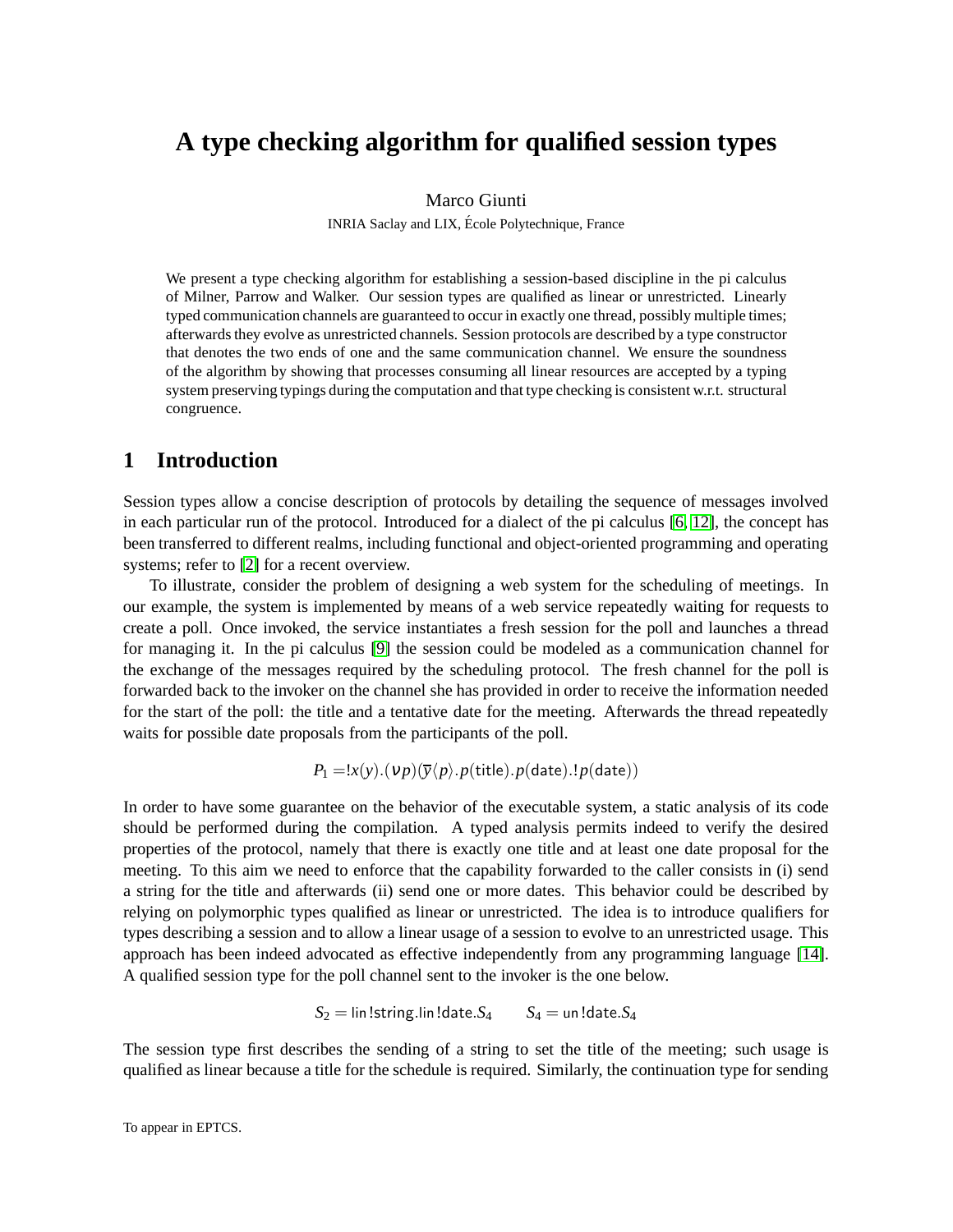# **A type checking algorithm for qualified session types**

#### Marco Giunti

INRIA Saclay and LIX, Ecole Polytechnique, France ´

We present a type checking algorithm for establishing a session-based discipline in the pi calculus of Milner, Parrow and Walker. Our session types are qualified as linear or unrestricted. Linearly typed communication channels are guaranteed to occur in exactly one thread, possibly multiple times; afterwards they evolve as unrestricted channels. Session protocols are described by a type constructor that denotes the two ends of one and the same communication channel. We ensure the soundness of the algorithm by showing that processes consuming all linear resources are accepted by a typing system preserving typings during the computation and that type checking is consistent w.r.t. structural congruence.

## <span id="page-1-0"></span>**1 Introduction**

Session types allow a concise description of protocols by detailing the sequence of messages involved in each particular run of the protocol. Introduced for a dialect of the pi calculus [\[6,](#page-18-0) [12\]](#page-18-1), the concept has been transferred to different realms, including functional and object-oriented programming and operating systems; refer to [\[2\]](#page-17-0) for a recent overview.

To illustrate, consider the problem of designing a web system for the scheduling of meetings. In our example, the system is implemented by means of a web service repeatedly waiting for requests to create a poll. Once invoked, the service instantiates a fresh session for the poll and launches a thread for managing it. In the pi calculus [\[9\]](#page-18-2) the session could be modeled as a communication channel for the exchange of the messages required by the scheduling protocol. The fresh channel for the poll is forwarded back to the invoker on the channel she has provided in order to receive the information needed for the start of the poll: the title and a tentative date for the meeting. Afterwards the thread repeatedly waits for possible date proposals from the participants of the poll.

$$
P_1 = !x(y) \cdot (vp)(\overline{y}\langle p \rangle \cdot p(\text{title}) \cdot p(\text{date}) \cdot !p(\text{date}))
$$

In order to have some guarantee on the behavior of the executable system, a static analysis of its code should be performed during the compilation. A typed analysis permits indeed to verify the desired properties of the protocol, namely that there is exactly one title and at least one date proposal for the meeting. To this aim we need to enforce that the capability forwarded to the caller consists in (i) send a string for the title and afterwards (ii) send one or more dates. This behavior could be described by relying on polymorphic types qualified as linear or unrestricted. The idea is to introduce qualifiers for types describing a session and to allow a linear usage of a session to evolve to an unrestricted usage. This approach has been indeed advocated as effective independently from any programming language [\[14\]](#page-18-3). A qualified session type for the poll channel sent to the invoker is the one below.

$$
S_2 = \mathsf{lin}~!\mathsf{string}.\mathsf{lin}~!\mathsf{date}.S_4 \qquad S_4 = \mathsf{un}~!\mathsf{date}.S_4
$$

The session type first describes the sending of a string to set the title of the meeting; such usage is qualified as linear because a title for the schedule is required. Similarly, the continuation type for sending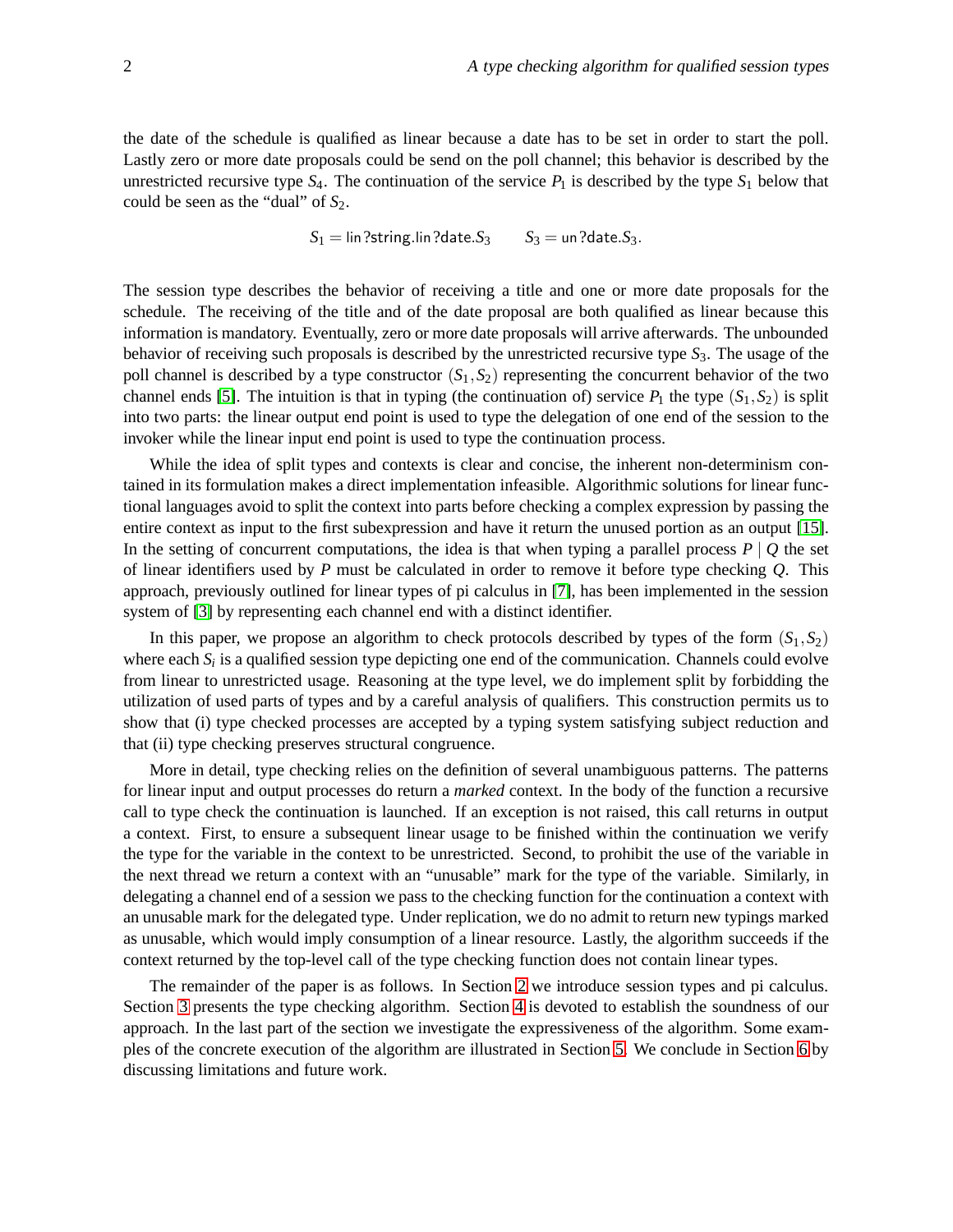the date of the schedule is qualified as linear because a date has to be set in order to start the poll. Lastly zero or more date proposals could be send on the poll channel; this behavior is described by the unrestricted recursive type  $S_4$ . The continuation of the service  $P_1$  is described by the type  $S_1$  below that could be seen as the "dual" of  $S_2$ .

 $S_1 = \lim$ ?string.lin?date. $S_3$   $S_3 = \lim$ ?date. $S_3$ .

The session type describes the behavior of receiving a title and one or more date proposals for the schedule. The receiving of the title and of the date proposal are both qualified as linear because this information is mandatory. Eventually, zero or more date proposals will arrive afterwards. The unbounded behavior of receiving such proposals is described by the unrestricted recursive type *S*3. The usage of the poll channel is described by a type constructor  $(S_1, S_2)$  representing the concurrent behavior of the two channel ends [\[5\]](#page-18-4). The intuition is that in typing (the continuation of) service  $P_1$  the type  $(S_1, S_2)$  is split into two parts: the linear output end point is used to type the delegation of one end of the session to the invoker while the linear input end point is used to type the continuation process.

While the idea of split types and contexts is clear and concise, the inherent non-determinism contained in its formulation makes a direct implementation infeasible. Algorithmic solutions for linear functional languages avoid to split the context into parts before checking a complex expression by passing the entire context as input to the first subexpression and have it return the unused portion as an output [\[15\]](#page-18-5). In the setting of concurrent computations, the idea is that when typing a parallel process  $P \mid Q$  the set of linear identifiers used by *P* must be calculated in order to remove it before type checking *Q*. This approach, previously outlined for linear types of pi calculus in [\[7\]](#page-18-6), has been implemented in the session system of [\[3\]](#page-18-7) by representing each channel end with a distinct identifier.

In this paper, we propose an algorithm to check protocols described by types of the form  $(S_1, S_2)$ where each  $S_i$  is a qualified session type depicting one end of the communication. Channels could evolve from linear to unrestricted usage. Reasoning at the type level, we do implement split by forbidding the utilization of used parts of types and by a careful analysis of qualifiers. This construction permits us to show that (i) type checked processes are accepted by a typing system satisfying subject reduction and that (ii) type checking preserves structural congruence.

More in detail, type checking relies on the definition of several unambiguous patterns. The patterns for linear input and output processes do return a *marked* context. In the body of the function a recursive call to type check the continuation is launched. If an exception is not raised, this call returns in output a context. First, to ensure a subsequent linear usage to be finished within the continuation we verify the type for the variable in the context to be unrestricted. Second, to prohibit the use of the variable in the next thread we return a context with an "unusable" mark for the type of the variable. Similarly, in delegating a channel end of a session we pass to the checking function for the continuation a context with an unusable mark for the delegated type. Under replication, we do no admit to return new typings marked as unusable, which would imply consumption of a linear resource. Lastly, the algorithm succeeds if the context returned by the top-level call of the type checking function does not contain linear types.

The remainder of the paper is as follows. In Section [2](#page-3-0) we introduce session types and pi calculus. Section [3](#page-4-0) presents the type checking algorithm. Section [4](#page-10-0) is devoted to establish the soundness of our approach. In the last part of the section we investigate the expressiveness of the algorithm. Some examples of the concrete execution of the algorithm are illustrated in Section [5.](#page-15-0) We conclude in Section [6](#page-16-0) by discussing limitations and future work.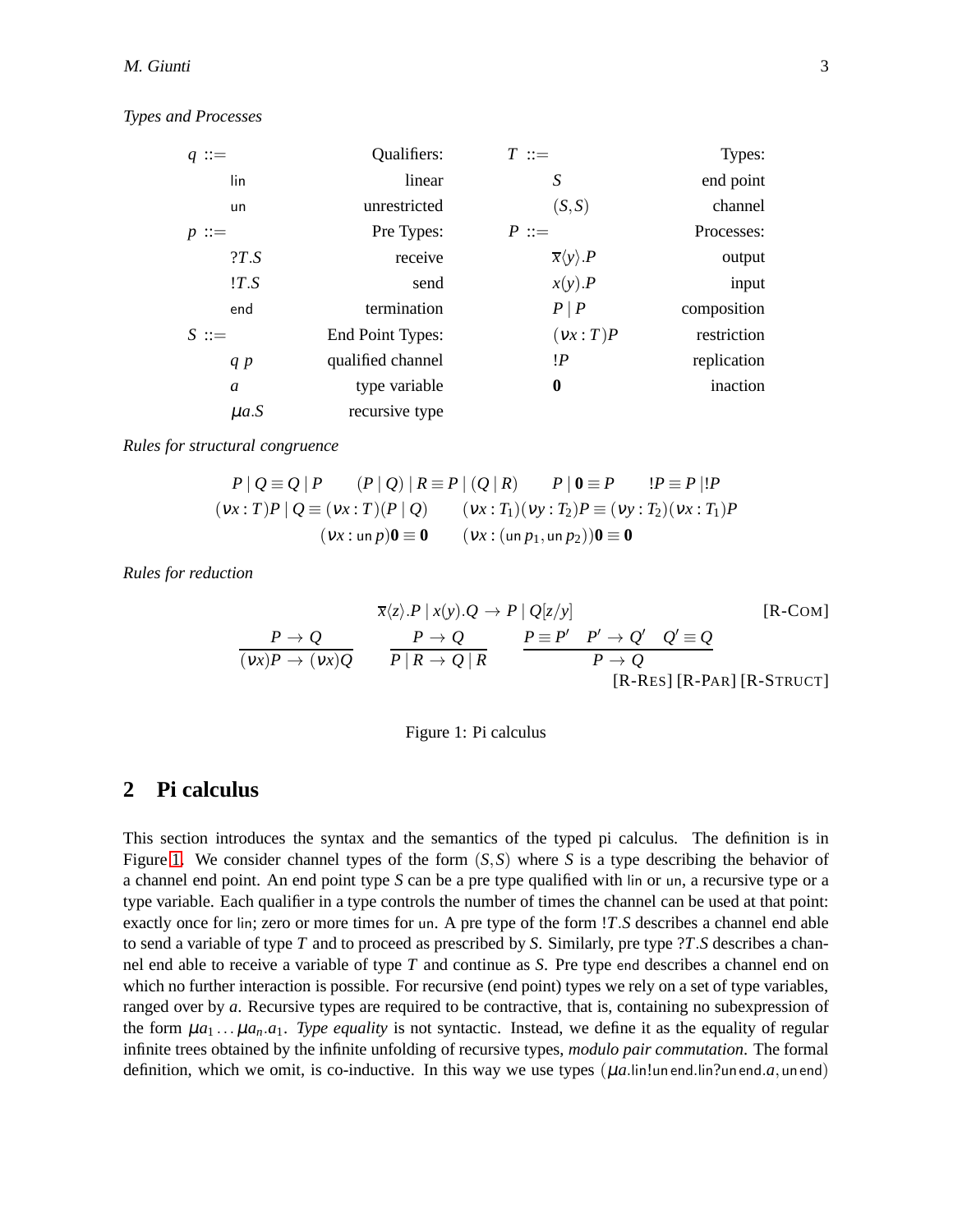#### *Types and Processes*

| $q ::=$   | Qualifiers:       | $T \equiv$                        | Types:      |
|-----------|-------------------|-----------------------------------|-------------|
| lin       | linear            | S                                 | end point   |
| un        | unrestricted      | (S, S)                            | channel     |
| $p ::=$   | Pre Types:        | $P ::=$                           | Processes:  |
| ?T.S      | receive           | $\overline{x}\langle y \rangle P$ | output      |
| !T.S      | send              | $x(y)$ . $P$                      | input       |
| end       | termination       | $P \mid P$                        | composition |
| $S ::=$   | End Point Types:  | (vx:T)P                           | restriction |
| q p       | qualified channel | !P                                | replication |
| a         | type variable     | $\bf{0}$                          | inaction    |
| $\mu$ a.S | recursive type    |                                   |             |

*Rules for structural congruence*

$$
P \mid Q \equiv Q \mid P \qquad (P \mid Q) \mid R \equiv P \mid (Q \mid R) \qquad P \mid 0 \equiv P \qquad !P \equiv P \mid !P
$$
  
\n
$$
(vx:T)P \mid Q \equiv (vx:T)(P \mid Q) \qquad (vx:T_1)(vy:T_2)P \equiv (vy:T_2)(vx:T_1)P
$$
  
\n
$$
(vx:un p)0 \equiv 0 \qquad (vx:(un p_1,un p_2))0 \equiv 0
$$

*Rules for reduction*

$$
\frac{P \to Q}{(vx)P \to (vx)Q} \qquad \frac{P \to Q}{P \mid R \to Q \mid R} \qquad \frac{P \equiv P' \quad P' \to Q' \quad Q' \equiv Q}{P \mid R \to Q \mid R} \qquad \frac{P \equiv P' \quad P' \to Q' \quad Q' \equiv Q}{P \to Q} \qquad \frac{P \to Q}{[R\text{-}Res] [R\text{-}PAR] [R\text{-}STRUCT]}
$$

<span id="page-3-1"></span>

|  | Figure 1: Pi calculus |  |  |  |  |  |
|--|-----------------------|--|--|--|--|--|
|--|-----------------------|--|--|--|--|--|

### <span id="page-3-0"></span>**2 Pi calculus**

This section introduces the syntax and the semantics of the typed pi calculus. The definition is in Figure [1.](#page-3-1) We consider channel types of the form  $(S, S)$  where *S* is a type describing the behavior of a channel end point. An end point type *S* can be a pre type qualified with lin or un, a recursive type or a type variable. Each qualifier in a type controls the number of times the channel can be used at that point: exactly once for lin; zero or more times for un. A pre type of the form !*T*.*S* describes a channel end able to send a variable of type *T* and to proceed as prescribed by *S*. Similarly, pre type ?*T*.*S* describes a channel end able to receive a variable of type *T* and continue as *S*. Pre type end describes a channel end on which no further interaction is possible. For recursive (end point) types we rely on a set of type variables, ranged over by *a*. Recursive types are required to be contractive, that is, containing no subexpression of the form  $\mu a_1 \ldots \mu a_n a_1$ . Type equality is not syntactic. Instead, we define it as the equality of regular infinite trees obtained by the infinite unfolding of recursive types, *modulo pair commutation*. The formal definition, which we omit, is co-inductive. In this way we use types  $(\mu a$ .lin!un end.lin?un end.*a*, un end)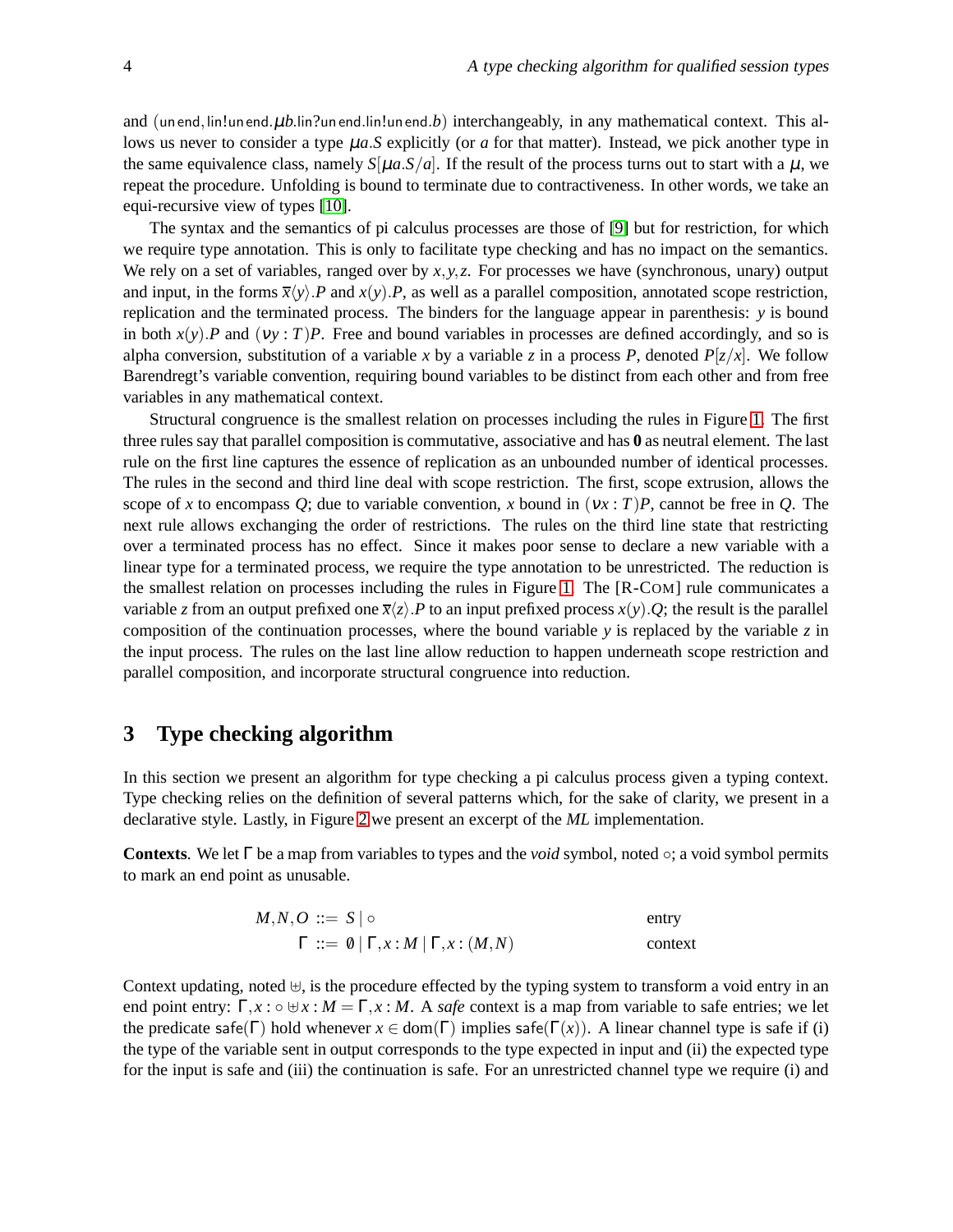and (un end, lin!un end.  $\mu b$ .lin?un end.lin!un end.*b*) interchangeably, in any mathematical context. This allows us never to consider a type µ*a*.*S* explicitly (or *a* for that matter). Instead, we pick another type in the same equivalence class, namely  $S[\mu a.S/a]$ . If the result of the process turns out to start with a  $\mu$ , we repeat the procedure. Unfolding is bound to terminate due to contractiveness. In other words, we take an equi-recursive view of types [\[10\]](#page-18-8).

The syntax and the semantics of pi calculus processes are those of [\[9\]](#page-18-2) but for restriction, for which we require type annotation. This is only to facilitate type checking and has no impact on the semantics. We rely on a set of variables, ranged over by *x*,*y*,*z*. For processes we have (synchronous, unary) output and input, in the forms  $\overline{x}\langle y \rangle$ . *P* and  $x(y)$ . *P*, as well as a parallel composition, annotated scope restriction, replication and the terminated process. The binders for the language appear in parenthesis: *y* is bound in both  $x(y)$ . P and  $(yy : T)P$ . Free and bound variables in processes are defined accordingly, and so is alpha conversion, substitution of a variable *x* by a variable *z* in a process *P*, denoted  $P[z/x]$ . We follow Barendregt's variable convention, requiring bound variables to be distinct from each other and from free variables in any mathematical context.

Structural congruence is the smallest relation on processes including the rules in Figure [1.](#page-3-1) The first three rules say that parallel composition is commutative, associative and has **0** as neutral element. The last rule on the first line captures the essence of replication as an unbounded number of identical processes. The rules in the second and third line deal with scope restriction. The first, scope extrusion, allows the scope of *x* to encompass *Q*; due to variable convention, *x* bound in  $(vx : T)P$ , cannot be free in *Q*. The next rule allows exchanging the order of restrictions. The rules on the third line state that restricting over a terminated process has no effect. Since it makes poor sense to declare a new variable with a linear type for a terminated process, we require the type annotation to be unrestricted. The reduction is the smallest relation on processes including the rules in Figure [1.](#page-3-1) The [R-COM] rule communicates a variable *z* from an output prefixed one  $\bar{x}\langle z \rangle$ . P to an input prefixed process  $x(y)$ . Q; the result is the parallel composition of the continuation processes, where the bound variable *y* is replaced by the variable *z* in the input process. The rules on the last line allow reduction to happen underneath scope restriction and parallel composition, and incorporate structural congruence into reduction.

### <span id="page-4-0"></span>**3 Type checking algorithm**

In this section we present an algorithm for type checking a pi calculus process given a typing context. Type checking relies on the definition of several patterns which, for the sake of clarity, we present in a declarative style. Lastly, in Figure [2](#page-8-0) we present an excerpt of the *ML* implementation.

**Contexts**. We let Γ be a map from variables to types and the *void* symbol, noted ◦; a void symbol permits to mark an end point as unusable.

| $M,N,O ::= S   \circ$                                       | entry   |
|-------------------------------------------------------------|---------|
| $\Gamma ::= \emptyset   \Gamma, x : M   \Gamma, x : (M, N)$ | context |

Context updating, noted ⊎, is the procedure effected by the typing system to transform a void entry in an end point entry:  $\Gamma, x : \circ \forall x : M = \Gamma, x : M$ . A *safe* context is a map from variable to safe entries; we let the predicate safe( $\Gamma$ ) hold whenever  $x \in \text{dom}(\Gamma)$  implies safe( $\Gamma(x)$ ). A linear channel type is safe if (i) the type of the variable sent in output corresponds to the type expected in input and (ii) the expected type for the input is safe and (iii) the continuation is safe. For an unrestricted channel type we require (i) and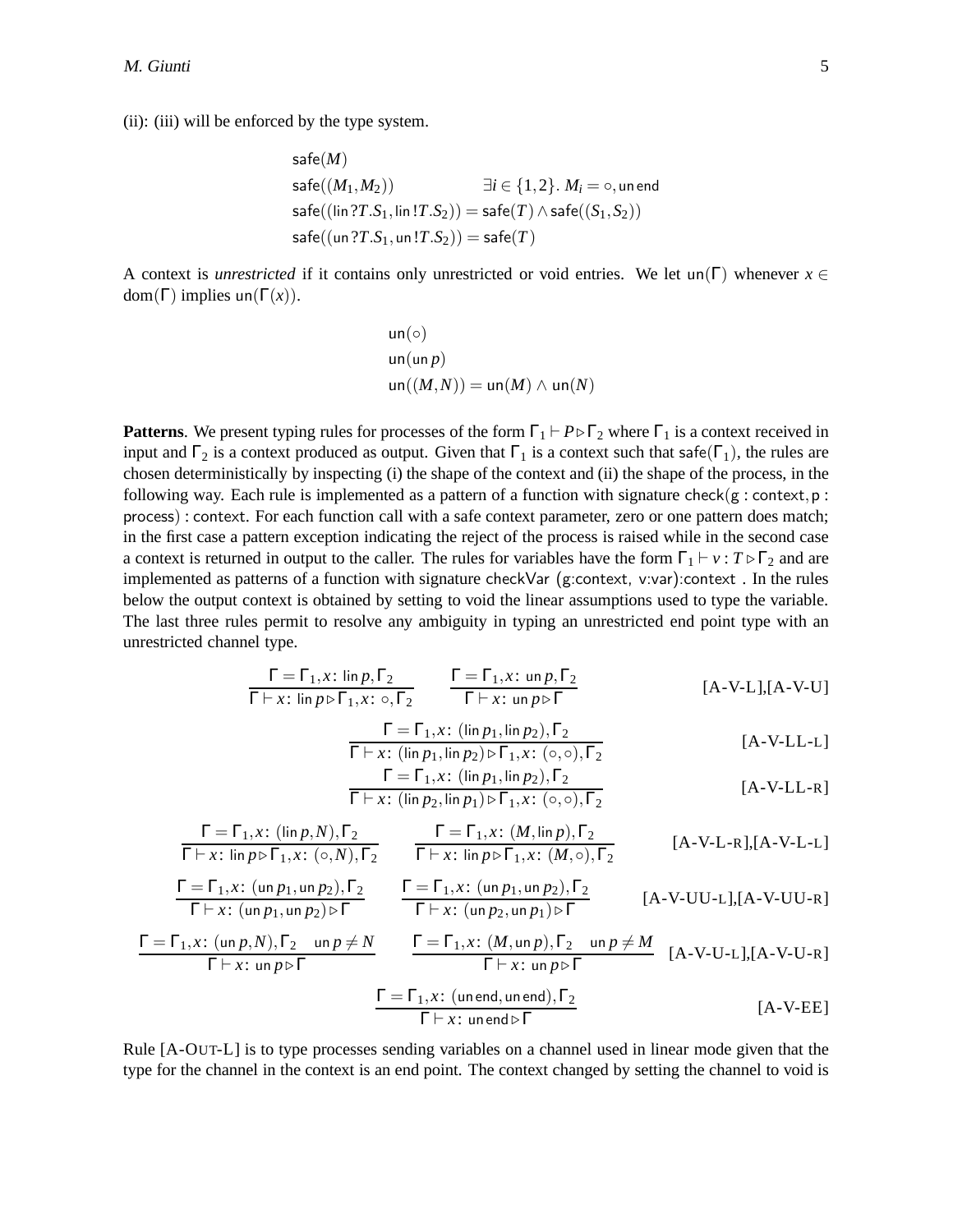(ii): (iii) will be enforced by the type system.

$$
\begin{aligned} &\mathsf{safe}(M)\\ &\mathsf{safe}((M_1,M_2))\qquad \qquad \exists i\in \{1,2\}.~M_i=\circ, \mathsf{un}~\mathsf{end}\\ &\mathsf{safe}((\mathsf{lin}~?T.S_1,\mathsf{lin}~!T.S_2))=\mathsf{safe}(T)\wedge \mathsf{safe}((S_1,S_2))\\ &\mathsf{safe}((\mathsf{un}~?T.S_1,\mathsf{un}~!T.S_2))=\mathsf{safe}(T) \end{aligned}
$$

A context is *unrestricted* if it contains only unrestricted or void entries. We let un(Γ) whenever  $x \in$ dom( $\Gamma$ ) implies un( $\Gamma(x)$ ).

$$
un(\circ)
$$
  
un(unp)  
un
$$
(M,N)) = un(M) \wedge un(N)
$$

**Patterns**. We present typing rules for processes of the form  $\Gamma_1 \vdash P \triangleright \Gamma_2$  where  $\Gamma_1$  is a context received in input and  $\Gamma_2$  is a context produced as output. Given that  $\Gamma_1$  is a context such that safe( $\Gamma_1$ ), the rules are chosen deterministically by inspecting (i) the shape of the context and (ii) the shape of the process, in the following way. Each rule is implemented as a pattern of a function with signature check( $g$ : context,  $p$ : process) : context. For each function call with a safe context parameter, zero or one pattern does match; in the first case a pattern exception indicating the reject of the process is raised while in the second case a context is returned in output to the caller. The rules for variables have the form  $\Gamma_1 \vdash v : T \triangleright \Gamma_2$  and are implemented as patterns of a function with signature checkVar (g:context, v:var):context . In the rules below the output context is obtained by setting to void the linear assumptions used to type the variable. The last three rules permit to resolve any ambiguity in typing an unrestricted end point type with an unrestricted channel type.

$$
\frac{\Gamma = \Gamma_1, x: \lim p, \Gamma_2}{\Gamma \vdash x: \lim p \triangleright \Gamma_1, x: \circ, \Gamma_2} \qquad \frac{\Gamma = \Gamma_1, x: \lim p, \Gamma_2}{\Gamma \vdash x: \lim p \triangleright \Gamma} \qquad \qquad [\text{A-V-L}], [\text{A-V-U}]
$$

$$
\Gamma = \Gamma_1, x: (\lim p_1, \lim p_2), \Gamma_2
$$
  
\n
$$
\Gamma \vdash x: (\lim p_1, \lim p_2) \triangleright \Gamma_1, x: (\circ, \circ), \Gamma_2
$$
  
\n
$$
\Gamma = \Gamma_1, x: (\lim p_1, \lim p_2), \Gamma_2
$$
  
\n[A. V. L. P.]

$$
\frac{1 - 11, x \cdot (\text{min } p_1, \text{min } p_2), 12}{\Gamma \vdash x : (\text{lin } p_2, \text{lin } p_1) \triangleright \Gamma_1, x : (\circ, \circ), \Gamma_2}
$$
 [A-V-LL-R]

$$
\frac{\Gamma = \Gamma_1, x \colon (\mathop{\text{lin}} p, N), \Gamma_2}{\Gamma \vdash x \colon \mathop{\text{lin}} p \triangleright \Gamma_1, x \colon (\circ, N), \Gamma_2} \qquad \frac{\Gamma = \Gamma_1, x \colon (M, \mathop{\text{lin}} p), \Gamma_2}{\Gamma \vdash x \colon \mathop{\text{lin}} p \triangleright \Gamma_1, x \colon (M, \circ), \Gamma_2} \qquad [\text{A-V-L-R}], [\text{A-V-L-L}]
$$

$$
\frac{\Gamma = \Gamma_1, x \colon (\mathsf{un}\, p_1, \mathsf{un}\, p_2), \Gamma_2}{\Gamma \vdash x \colon (\mathsf{un}\, p_1, \mathsf{un}\, p_2) \triangleright \Gamma} \qquad \frac{\Gamma = \Gamma_1, x \colon (\mathsf{un}\, p_1, \mathsf{un}\, p_2), \Gamma_2}{\Gamma \vdash x \colon (\mathsf{un}\, p_2, \mathsf{un}\, p_1) \triangleright \Gamma} \qquad \qquad [\text{A-V-UU-L}], [\text{A-V-UU-R}]
$$

$$
\frac{\Gamma = \Gamma_1, x \colon (\operatorname{un} p, N), \Gamma_2 \quad \operatorname{un} p \neq N}{\Gamma \vdash x \colon \operatorname{un} p \triangleright \Gamma} \qquad \frac{\Gamma = \Gamma_1, x \colon (M, \operatorname{un} p), \Gamma_2 \quad \operatorname{un} p \neq M}{\Gamma \vdash x \colon \operatorname{un} p \triangleright \Gamma} \qquad [\text{A-V-U-L}], [\text{A-V-U-R}]
$$
\n
$$
\frac{\Gamma = \Gamma_1, x \colon (\operatorname{unend}, \operatorname{unend}), \Gamma_2}{\Gamma \vdash x \colon \operatorname{unend} \triangleright \Gamma} \qquad [\text{A-V-UE}]
$$

Rule [A-OUT-L] is to type processes sending variables on a channel used in linear mode given that the type for the channel in the context is an end point. The context changed by setting the channel to void is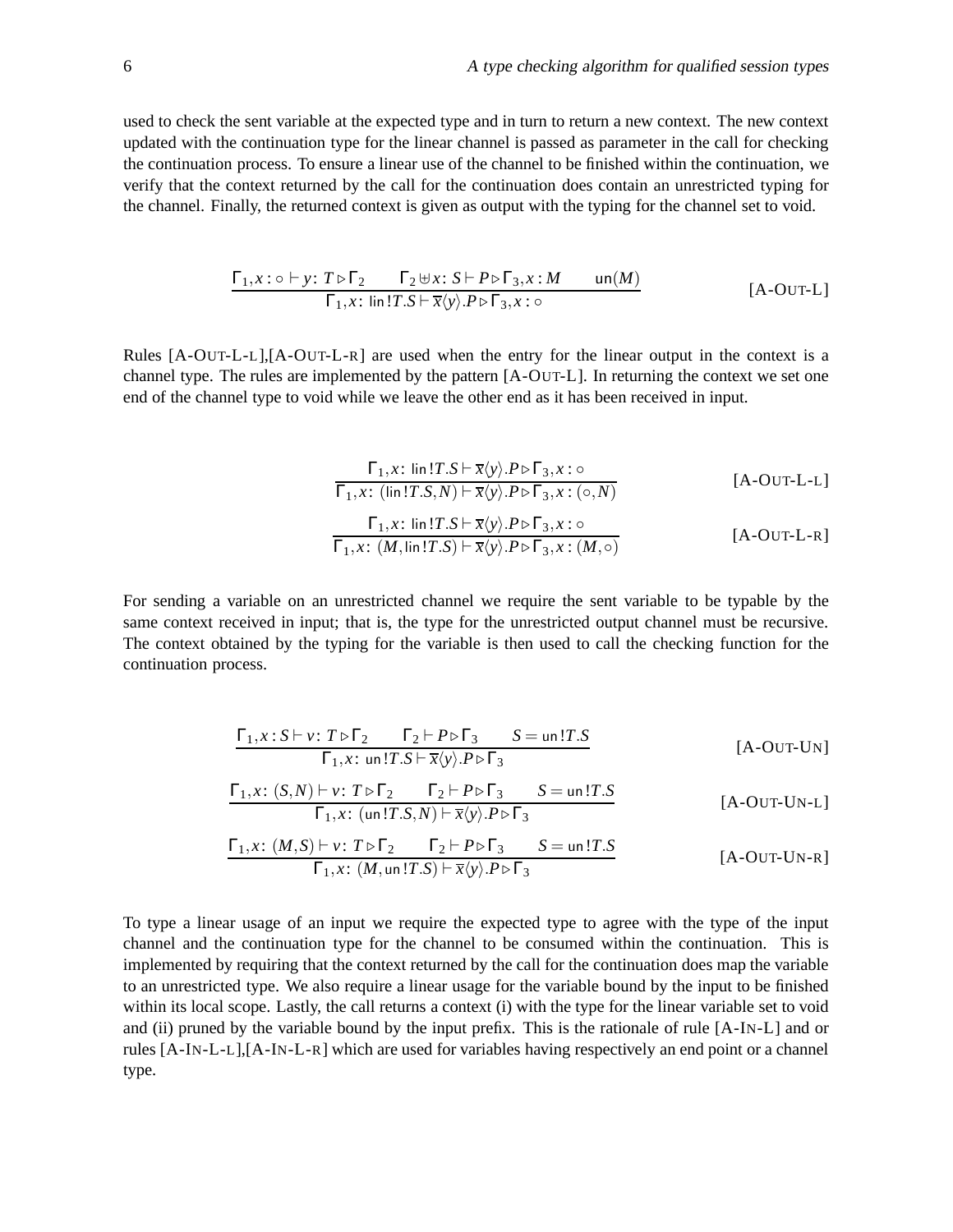used to check the sent variable at the expected type and in turn to return a new context. The new context updated with the continuation type for the linear channel is passed as parameter in the call for checking the continuation process. To ensure a linear use of the channel to be finished within the continuation, we verify that the context returned by the call for the continuation does contain an unrestricted typing for the channel. Finally, the returned context is given as output with the typing for the channel set to void.

$$
\frac{\Gamma_1, x : \circ \vdash y : T \triangleright \Gamma_2 \qquad \Gamma_2 \uplus x : S \vdash P \triangleright \Gamma_3, x : M \qquad \text{un}(M)}{\Gamma_1, x : \text{lin} \, !T.S \vdash \overline{x} \langle y \rangle. P \triangleright \Gamma_3, x : \circ} \qquad \qquad [\text{A-OUT-L}]
$$

Rules [A-OUT-L-L],[A-OUT-L-R] are used when the entry for the linear output in the context is a channel type. The rules are implemented by the pattern [A-OUT-L]. In returning the context we set one end of the channel type to void while we leave the other end as it has been received in input.

$$
\frac{\Gamma_1, x: \operatorname{lin}!T.S \vdash \overline{x}\langle y \rangle.P \triangleright \Gamma_3, x: \circ}{\Gamma_1, x: (\operatorname{lin}!T.S, N) \vdash \overline{x}\langle y \rangle.P \triangleright \Gamma_3, x: (\circ, N)}
$$
\n
$$
\frac{\Gamma_1, x: \operatorname{lin}!T.S \vdash \overline{x}\langle y \rangle.P \triangleright \Gamma_3, x: \circ}{\Gamma_1, x: (M, \operatorname{lin}!T.S) \vdash \overline{x}\langle y \rangle.P \triangleright \Gamma_3, x: (M, \circ)}
$$
\n[A-OUT-L-R]

For sending a variable on an unrestricted channel we require the sent variable to be typable by the same context received in input; that is, the type for the unrestricted output channel must be recursive. The context obtained by the typing for the variable is then used to call the checking function for the continuation process.

$$
\frac{\Gamma_1, x: S \vdash v: T \triangleright \Gamma_2 \qquad \Gamma_2 \vdash P \triangleright \Gamma_3 \qquad S = \text{un } !T.S}{\Gamma_1, x: \text{ un } !T.S \vdash \overline{x} \langle y \rangle. P \triangleright \Gamma_3}
$$
\n[A-OUT-Un]

$$
\frac{\Gamma_1, x \colon (S, N) \vdash v \colon T \triangleright \Gamma_2 \qquad \Gamma_2 \vdash P \triangleright \Gamma_3 \qquad S = \text{un} \colon T.S}{\Gamma_1, x \colon (\text{un} \colon T.S, N) \vdash \overline{x} \langle y \rangle. P \triangleright \Gamma_3}
$$
 [A-OUT-UN-L]

$$
\frac{\Gamma_1, x \colon (M, S) \vdash \nu \colon T \triangleright \Gamma_2 \qquad \Gamma_2 \vdash P \triangleright \Gamma_3 \qquad S = \text{un } !T.S}{\Gamma_1, x \colon (M, \text{un } !T.S) \vdash \overline{x} \langle y \rangle. P \triangleright \Gamma_3}
$$
\n[A-OUT-UN-R]

To type a linear usage of an input we require the expected type to agree with the type of the input channel and the continuation type for the channel to be consumed within the continuation. This is implemented by requiring that the context returned by the call for the continuation does map the variable to an unrestricted type. We also require a linear usage for the variable bound by the input to be finished within its local scope. Lastly, the call returns a context (i) with the type for the linear variable set to void and (ii) pruned by the variable bound by the input prefix. This is the rationale of rule [A-IN-L] and or rules [A-IN-L-L],[A-IN-L-R] which are used for variables having respectively an end point or a channel type.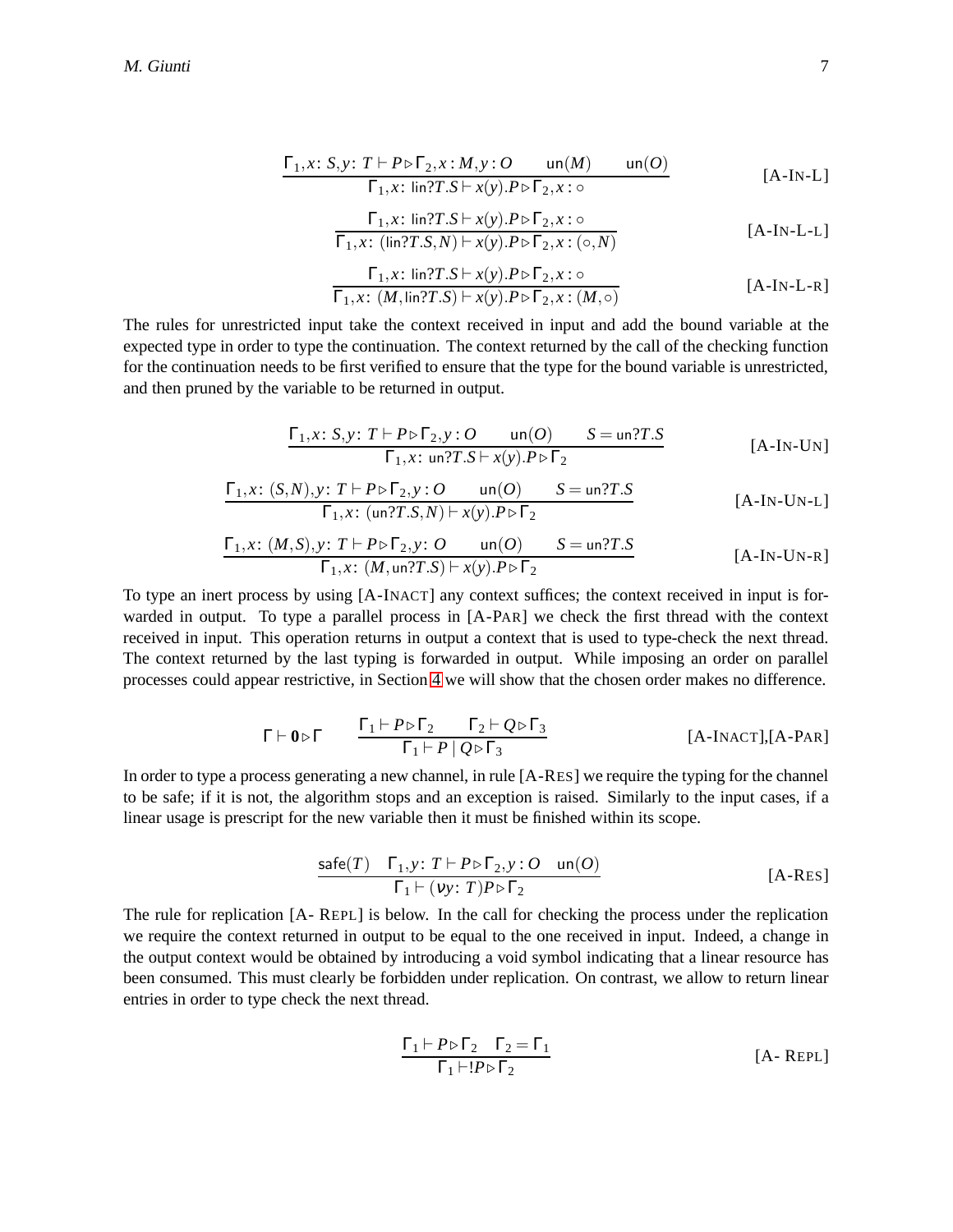$$
\frac{\Gamma_1, x \colon S, y \colon T \vdash P \triangleright \Gamma_2, x \colon M, y \colon O \qquad \text{un}(M) \qquad \text{un}(O)}{\Gamma_1, x \colon \text{lin?} T. S \vdash x(y). P \triangleright \Gamma_2, x : \circ}
$$
 [A-IN-L]

$$
\frac{\Gamma_1, x: \lim \{T.S \vdash x(y).P \triangleright \Gamma_2, x: \circlearrowleft \right\}}{\Gamma_1, x: (\lim \{T.S,N\} \vdash x(y).P \triangleright \Gamma_2, x: (\circ, N))}
$$
\n[A-IN-L-L]

$$
\frac{\Gamma_1, x: \operatorname{lin} T.S \vdash x(y). P \triangleright \Gamma_2, x: \circ}{\Gamma_1, x: (M, \operatorname{lin} T.S) \vdash x(y). P \triangleright \Gamma_2, x: (M, \circ)} \qquad \qquad [\text{A-IN-L-R}]
$$

The rules for unrestricted input take the context received in input and add the bound variable at the expected type in order to type the continuation. The context returned by the call of the checking function for the continuation needs to be first verified to ensure that the type for the bound variable is unrestricted, and then pruned by the variable to be returned in output.

$$
\frac{\Gamma_1, x \colon S, y \colon T \vdash P \triangleright \Gamma_2, y \colon O \qquad \text{un}(O)}{\Gamma_1, x \colon \text{un?}T.S \vdash x(y).P \triangleright \Gamma_2} \qquad \qquad [\text{A-IN-UN}]
$$

$$
\frac{\Gamma_1, x \colon (S, N), y \colon T \vdash P \triangleright \Gamma_2, y \colon O \qquad \text{un}(O)}{\Gamma_1, x \colon (\text{un?}T.S, N) \vdash x(y).P \triangleright \Gamma_2}
$$
 [A-IN-UN-L]

$$
\frac{\Gamma_1, x \colon (M, S), y \colon T \vdash P \triangleright \Gamma_2, y \colon O \qquad \text{un}(O) \qquad S = \text{un?}T.S}{\Gamma_1, x \colon (M, \text{un?}T.S) \vdash x(y).P \triangleright \Gamma_2} \qquad \qquad [\text{A-IN-UN-R}]
$$

To type an inert process by using [A-INACT] any context suffices; the context received in input is forwarded in output. To type a parallel process in [A-PAR] we check the first thread with the context received in input. This operation returns in output a context that is used to type-check the next thread. The context returned by the last typing is forwarded in output. While imposing an order on parallel processes could appear restrictive, in Section [4](#page-10-0) we will show that the chosen order makes no difference.

$$
\Gamma \vdash \mathbf{0} \triangleright \Gamma \qquad \frac{\Gamma_1 \vdash P \triangleright \Gamma_2 \qquad \Gamma_2 \vdash Q \triangleright \Gamma_3}{\Gamma_1 \vdash P \mid Q \triangleright \Gamma_3} \qquad \qquad [\text{A-InACT}], [\text{A-PAR}]
$$

In order to type a process generating a new channel, in rule [A-RES] we require the typing for the channel to be safe; if it is not, the algorithm stops and an exception is raised. Similarly to the input cases, if a linear usage is prescript for the new variable then it must be finished within its scope.

$$
\frac{\text{safe}(T) \quad \Gamma_1, y \colon T \vdash P \triangleright \Gamma_2, y \colon O \quad \text{un}(O)}{\Gamma_1 \vdash (vy \colon T) P \triangleright \Gamma_2} \tag{A-RES}
$$

<span id="page-7-0"></span>The rule for replication [A- REPL] is below. In the call for checking the process under the replication we require the context returned in output to be equal to the one received in input. Indeed, a change in the output context would be obtained by introducing a void symbol indicating that a linear resource has been consumed. This must clearly be forbidden under replication. On contrast, we allow to return linear entries in order to type check the next thread.

$$
\frac{\Gamma_1 \vdash P \triangleright \Gamma_2 \quad \Gamma_2 = \Gamma_1}{\Gamma_1 \vdash !P \triangleright \Gamma_2} \tag{A-REPL}
$$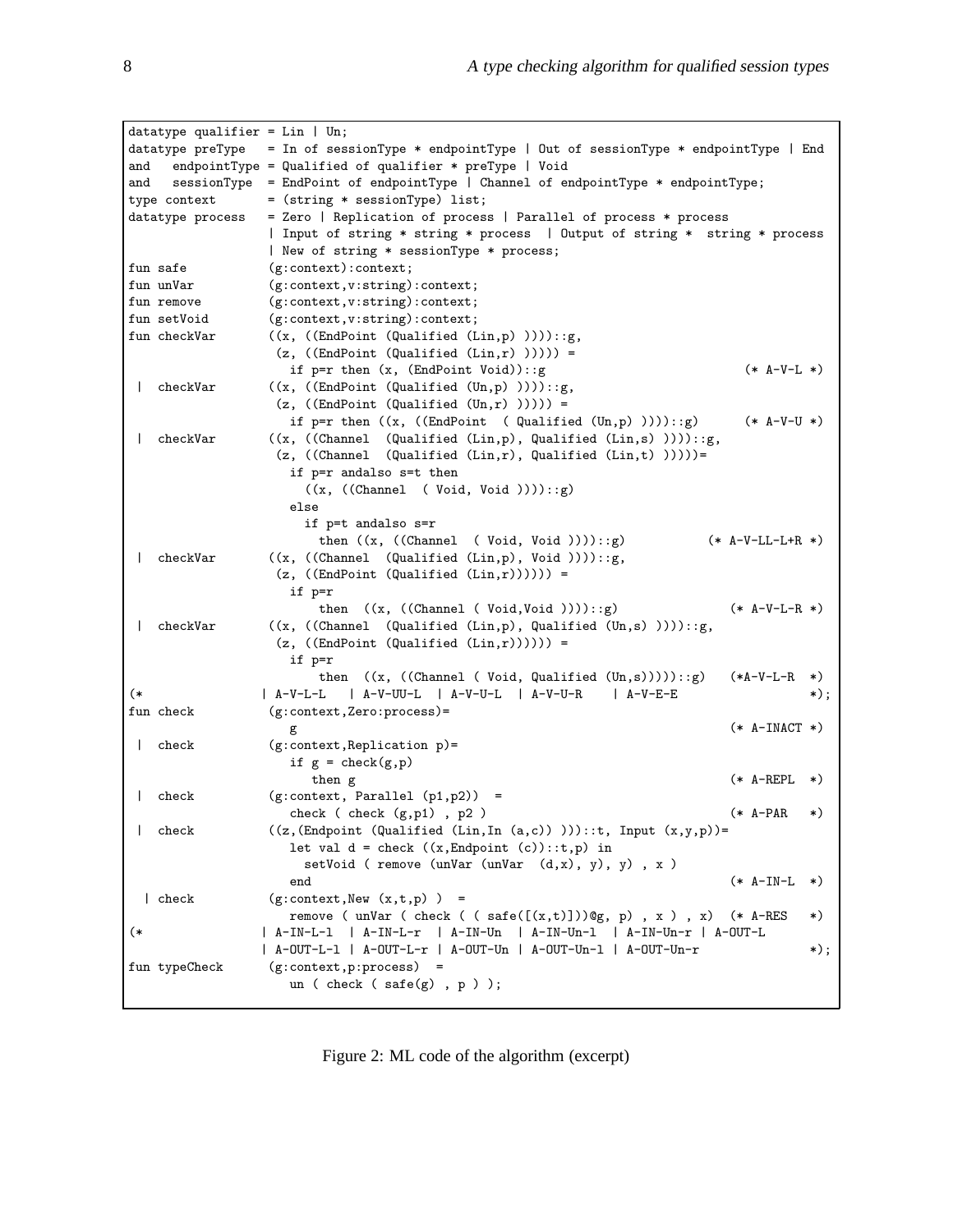|              | datatype qualifier = $Lin$   Un; |                                                                                  |                    |           |
|--------------|----------------------------------|----------------------------------------------------------------------------------|--------------------|-----------|
|              | datatype preType                 | = In of sessionType * endpointType   Out of sessionType * endpointType   End     |                    |           |
| and          |                                  | endpointType = Qualified of qualifier $*$ preType   Void                         |                    |           |
| and          |                                  | sessionType = EndPoint of endpointType   Channel of endpointType * endpointType; |                    |           |
|              | type context                     | = (string * sessionType) list;                                                   |                    |           |
|              | datatype process                 | = Zero   Replication of process   Parallel of process * process                  |                    |           |
|              |                                  | Input of string * string * process   Output of string * string * process         |                    |           |
|              |                                  | New of string * sessionType * process;                                           |                    |           |
|              | fun safe                         | (g:context):context;                                                             |                    |           |
|              | fun unVar                        | (g:context, v:string):context;                                                   |                    |           |
|              | fun remove                       | (g:context, v:string):context;                                                   |                    |           |
|              | fun setVoid                      | (g:context, v:string):context;                                                   |                    |           |
|              | fun checkVar                     | $((x, ((EndPoint (Qualified (Lin,p))))):g,$                                      |                    |           |
|              |                                  | $(z, ((EndPoint (Qualified (Lin,r)))))) =$                                       |                    |           |
|              |                                  | if $p=r$ then $(x, (EndPoint void))$ : :g                                        | $(* A-V-L *)$      |           |
| $\mathbf{I}$ | checkVar                         | $((x, ((EndPoint (Qualified (Un,p)))))::g,$                                      |                    |           |
|              |                                  | $(z, ((EndPoint (Qualified (Un,r)))) ) =$                                        |                    |           |
|              |                                  | if $p=r$ then $((x, ((EndPoint (Qualified (Un,p))))):g)$                         | $(* A-V-U * )$     |           |
|              | checkVar                         | $((x, ((Channel (Qualified (Lin,p), Qualified (Lin,s))))):g,$                    |                    |           |
|              |                                  | $(z, ((Channel (Qualified (Lin,r), Qualified (Lin,t))))=$                        |                    |           |
|              |                                  | if p=r andalso s=t then                                                          |                    |           |
|              |                                  |                                                                                  |                    |           |
|              |                                  | ((x, ((Channel (void, Void))))::g)<br>else                                       |                    |           |
|              |                                  |                                                                                  |                    |           |
|              |                                  | if p=t andalso s=r                                                               |                    |           |
|              |                                  | then $((x, ((Channel ( Void, Void))))::g)$                                       | $(* A-V-LL-L+R *)$ |           |
| $\mathbf{I}$ | checkVar                         | $((x, ((Channel (Qualified (Lin,p), Void))))::g,$                                |                    |           |
|              |                                  | $(z, ((EndPoint (Qualified (Lin,r))))) =$                                        |                    |           |
|              |                                  | if p=r                                                                           |                    |           |
|              |                                  | then $((x, ((Channel ( Void, Void)))):g)$                                        | $(* A-V-L-R *)$    |           |
| $\mathbf{I}$ | checkVar                         | $((x, ((Channel (Qualified (Lin,p), Qualified (Un,s))))):g,$                     |                    |           |
|              |                                  | $(z, ((EndPoint (Qualified (Lin,r))))) =$                                        |                    |           |
|              |                                  | if p=r                                                                           |                    |           |
|              |                                  | then $((x, ((Channel (void, Qualified (Un, s))))):g)$                            | $(*A-V-L-R * )$    |           |
| (*           |                                  | $A-V-UU-L$ $A-V-U-L$ $A-V-U-R$<br>  A-V-L-L<br>  A-V-E-E                         |                    | $\ast)$ ; |
|              | fun check                        | $(g:context, Zero:process) =$                                                    |                    |           |
|              |                                  |                                                                                  | $(*$ A-INACT $*)$  |           |
| $\mathbf{I}$ | check                            | $(g:context, Replication p) =$                                                   |                    |           |
|              |                                  | if $g = check(g, p)$                                                             |                    |           |
|              |                                  | then g                                                                           | $(* A-REPL$        | *)        |
| $\mathbf{I}$ | check                            | $(g:context, Parallel (p1,p2)) =$                                                |                    |           |
|              |                                  | check $(\text{check}(g,p1), p2)$                                                 | $(* A-PAR$         | *)        |
|              | check                            | $((z, (Endpoint (Qualified (Lin, In (a, c)))))::t, Input (x, y, p))=$            |                    |           |
|              |                                  | let val $d = check ((x, Endpoint (c)): :t,p)$ in                                 |                    |           |
|              |                                  | setVoid ( remove (unVar (unVar $(d,x)$ , y), y), x)                              |                    |           |
|              |                                  | end                                                                              | $(*$ A-IN-L        | *)        |
|              | check                            | $(g:context, New (x,t,p)) =$                                                     |                    |           |
|              |                                  | remove ( $unVar$ ( $check$ ( $safe([x,t)])@g, p)$ , $x$ ) , $x)$ (* A-RES        |                    | *)        |
| (*           |                                  | A-IN-L-1   A-IN-L-r   A-IN-Un   A-IN-Un-1   A-IN-Un-r   A-OUT-L                  |                    |           |
|              |                                  | A-OUT-L-1   A-OUT-L-r   A-OUT-Un   A-OUT-Un-1   A-OUT-Un-r                       |                    | *);       |
|              | fun typeCheck                    | $(g:context, p:process) =$                                                       |                    |           |
|              |                                  | un (check (safe $(g)$ , p));                                                     |                    |           |
|              |                                  |                                                                                  |                    |           |

<span id="page-8-0"></span>Figure 2: ML code of the algorithm (excerpt)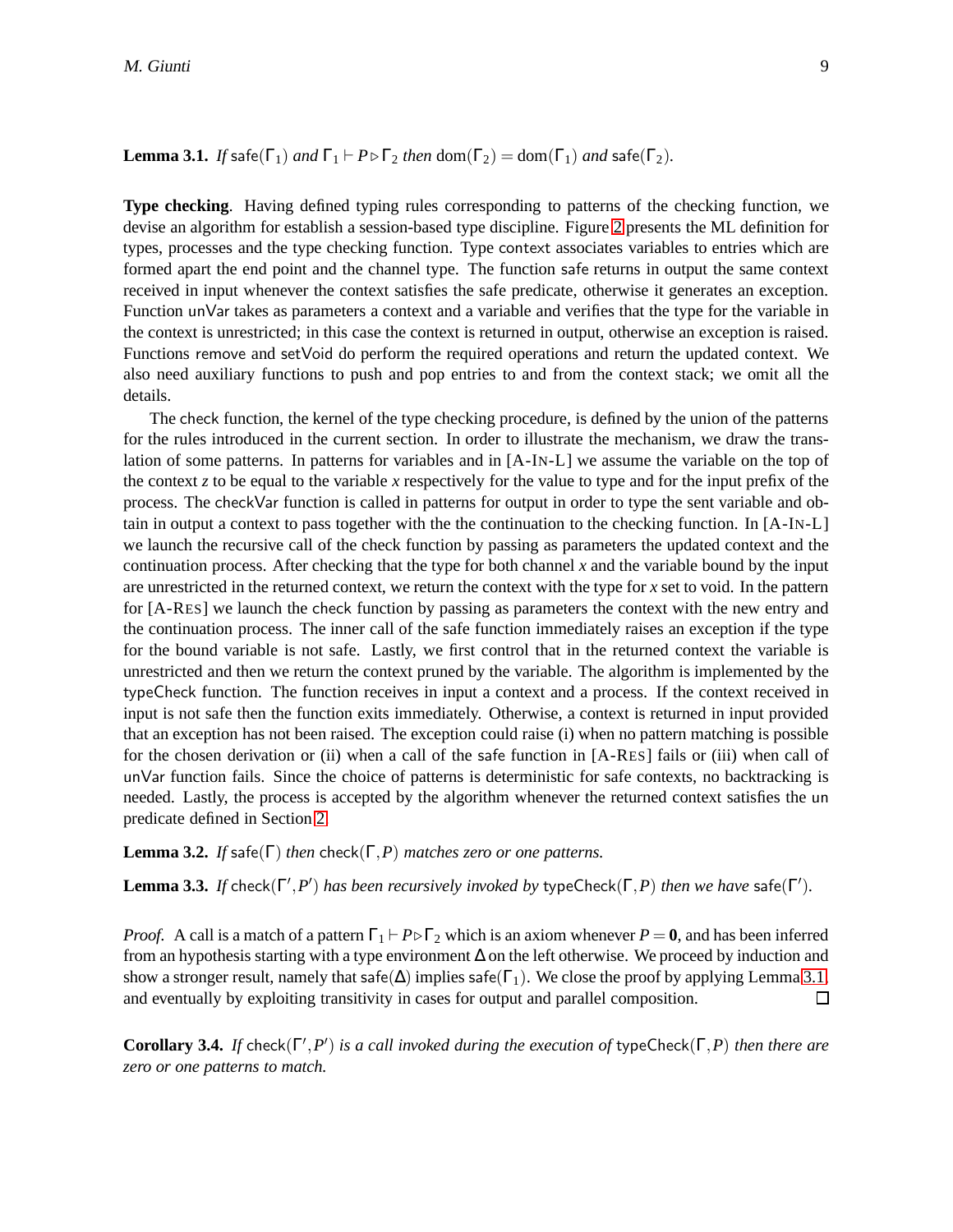**Lemma 3.1.** *If* safe( $\Gamma_1$ ) *and*  $\Gamma_1$   $\vdash$  *P* $\triangleright$   $\Gamma_2$  *then* dom( $\Gamma_2$ ) = dom( $\Gamma_1$ ) *and* safe( $\Gamma_2$ ).

**Type checking**. Having defined typing rules corresponding to patterns of the checking function, we devise an algorithm for establish a session-based type discipline. Figure [2](#page-8-0) presents the ML definition for types, processes and the type checking function. Type context associates variables to entries which are formed apart the end point and the channel type. The function safe returns in output the same context received in input whenever the context satisfies the safe predicate, otherwise it generates an exception. Function unVar takes as parameters a context and a variable and verifies that the type for the variable in the context is unrestricted; in this case the context is returned in output, otherwise an exception is raised. Functions remove and setVoid do perform the required operations and return the updated context. We also need auxiliary functions to push and pop entries to and from the context stack; we omit all the details.

The check function, the kernel of the type checking procedure, is defined by the union of the patterns for the rules introduced in the current section. In order to illustrate the mechanism, we draw the translation of some patterns. In patterns for variables and in [A-IN-L] we assume the variable on the top of the context *z* to be equal to the variable *x* respectively for the value to type and for the input prefix of the process. The checkVar function is called in patterns for output in order to type the sent variable and obtain in output a context to pass together with the the continuation to the checking function. In [A-IN-L] we launch the recursive call of the check function by passing as parameters the updated context and the continuation process. After checking that the type for both channel *x* and the variable bound by the input are unrestricted in the returned context, we return the context with the type for *x* set to void. In the pattern for [A-RES] we launch the check function by passing as parameters the context with the new entry and the continuation process. The inner call of the safe function immediately raises an exception if the type for the bound variable is not safe. Lastly, we first control that in the returned context the variable is unrestricted and then we return the context pruned by the variable. The algorithm is implemented by the typeCheck function. The function receives in input a context and a process. If the context received in input is not safe then the function exits immediately. Otherwise, a context is returned in input provided that an exception has not been raised. The exception could raise (i) when no pattern matching is possible for the chosen derivation or (ii) when a call of the safe function in [A-RES] fails or (iii) when call of unVar function fails. Since the choice of patterns is deterministic for safe contexts, no backtracking is needed. Lastly, the process is accepted by the algorithm whenever the returned context satisfies the un predicate defined in Section [2.](#page-3-0)

**Lemma 3.2.** *If* safe( $\Gamma$ ) *then* check( $\Gamma$ , *P*) *matches zero or one patterns.* 

**Lemma 3.3.** *If* check( $\Gamma', P'$ ) *has been recursively invoked by* typeCheck( $\Gamma, P$ ) *then we have* safe( $\Gamma'$ ).

*Proof.* A call is a match of a pattern  $\Gamma_1$  +  $P \triangleright \Gamma_2$  which is an axiom whenever  $P = 0$ , and has been inferred from an hypothesis starting with a type environment ∆ on the left otherwise. We proceed by induction and show a stronger result, namely that safe( $\Delta$ ) implies safe( $\Gamma_1$ ). We close the proof by applying Lemma [3.1,](#page-7-0) and eventually by exploiting transitivity in cases for output and parallel composition. □

<span id="page-9-0"></span>**Corollary 3.4.** *If* check( $\Gamma', P'$ ) *is a call invoked during the execution of* typeCheck( $\Gamma, P$ ) *then there are zero or one patterns to match.*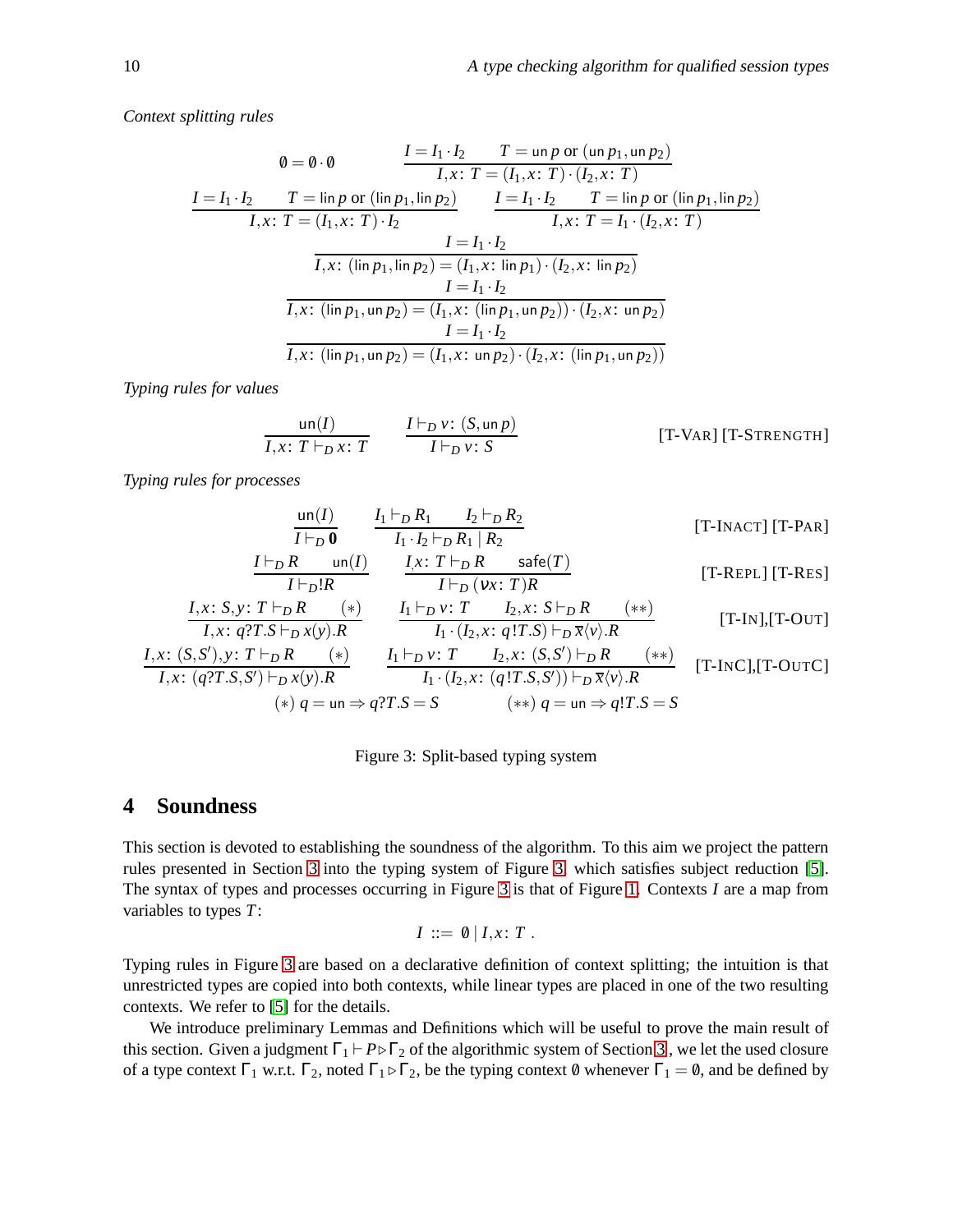*Context splitting rules*

$$
\emptyset = \emptyset \cdot \emptyset \qquad \qquad \frac{I = I_1 \cdot I_2 \qquad T = \text{un } p \text{ or } (\text{un } p_1, \text{un } p_2)}{I, x: T = (I_1, x: T) \cdot (I_2, x: T)}
$$
\n
$$
\frac{I = I_1 \cdot I_2 \qquad T = \text{lin } p \text{ or } (\text{lin } p_1, \text{lin } p_2)}{I, x: T = (I_1, x: T) \cdot I_2} \qquad \qquad \frac{I = I_1 \cdot I_2 \qquad T = \text{lin } p \text{ or } (\text{lin } p_1, \text{lin } p_2)}{I, x: T = I_1 \cdot (I_2, x: T)}
$$
\n
$$
\frac{I = I_1 \cdot I_2}{I, x: (\text{lin } p_1, \text{lin } p_2) = (I_1, x: \text{ lin } p_1) \cdot (I_2, x: \text{ lin } p_2)}
$$
\n
$$
\frac{I = I_1 \cdot I_2}{I, x: (\text{lin } p_1, \text{un } p_2) = (I_1, x: (\text{lin } p_1, \text{un } p_2)) \cdot (I_2, x: \text{un } p_2)}
$$
\n
$$
\frac{I = I_1 \cdot I_2}{I, x: (\text{lin } p_1, \text{un } p_2) = (I_1, x: \text{un } p_2) \cdot (I_2, x: (\text{lin } p_1, \text{un } p_2))}
$$

*Typing rules for values*

$$
\frac{\text{un}(I)}{I, x: T \vdash_D x: T} \qquad \frac{I \vdash_D v: (S, \text{un } p)}{I \vdash_D v: S} \qquad \qquad [\text{T-VAR}] \text{ [T-STRENGTH]}
$$

*Typing rules for processes*

$$
\frac{\text{un}(I)}{I \vdash_D 0} \quad \frac{I_1 \vdash_D R_1 \quad I_2 \vdash_D R_2}{I_1 \cdot I_2 \vdash_D R_1 \mid R_2} \quad \text{[T-INACT] [T-PAR]}
$$
\n
$$
\frac{I \vdash_D R \quad \text{un}(I)}{I_1 \cdot I_2 \cdot I_1 \cdot I_2 \cdot I_1 \cdot I_2 \cdot I_1 \cdot I_2 \cdot I_1 \cdot I_2 \cdot I_1 \cdot I_2 \cdot I_1 \cdot I_2 \cdot I_1 \cdot I_2 \cdot I_1 \cdot I_2 \cdot I_1 \cdot I_2 \cdot I_1 \cdot I_2 \cdot I_1 \cdot I_2 \cdot I_1 \cdot I_2 \cdot I_1 \cdot I_2 \cdot I_1 \cdot I_2 \cdot I_1 \cdot I_2 \cdot I_1 \cdot I_2 \cdot I_1 \cdot I_2 \cdot I_1 \cdot I_2 \cdot I_1 \cdot I_2 \cdot I_1 \cdot I_2 \cdot I_1 \cdot I_2 \cdot I_1 \cdot I_2 \cdot I_1 \cdot I_2 \cdot I_1 \cdot I_2 \cdot I_1 \cdot I_2 \cdot I_1 \cdot I_2 \cdot I_1 \cdot I_2 \cdot I_1 \cdot I_2 \cdot I_1 \cdot I_2 \cdot I_1 \cdot I_2 \cdot I_1 \cdot I_2 \cdot I_1 \cdot I_2 \cdot I_1 \cdot I_2 \cdot I_1 \cdot I_2 \cdot I_1 \cdot I_2 \cdot I_1 \cdot I_2 \cdot I_1 \cdot I_2 \cdot I_1 \cdot I_2 \cdot I_1 \cdot I_2 \cdot I_1 \cdot I_2 \cdot I_1 \cdot I_2 \cdot I_1 \cdot I_2 \cdot I_1 \cdot I_2 \cdot I_1 \cdot I_2 \cdot I_1 \cdot I_2 \cdot I_1 \cdot I_2 \cdot I_1 \cdot I_2 \cdot I_1 \cdot I_2 \cdot I_1 \cdot I_2 \cdot I_1 \cdot I_2 \cdot I_1 \cdot I_2 \cdot I_1 \cdot I_2 \cdot I_1 \cdot I_1 \cdot I_2 \cdot I_1 \cdot I_2 \cdot I_1 \cdot I_2 \cdot I_1 \cdot I_1 \cdot I_2 \cdot I_1 \cdot I_2 \cdot I_1 \cdot I_2 \cdot I_1 \cdot I_2 \cdot I_1 \cdot I_2 \cdot I_1 \cdot I_2 \cdot I_1 \cdot I_2 \cdot I_1 \cdot I_2 \cdot
$$

$$
I \vdash_D !R
$$
  
\n
$$
I \vdash_D (vx: T)R
$$
  
\n
$$
I, x: S, y: T \vdash_D R
$$
  
\n
$$
I_1 \vdash_D y: T \quad I_2, x: S \vdash_D R
$$
  
\n
$$
I_1 \cdot (I_2, x: q!T.S) \vdash_D \overline{x} \langle v \rangle R
$$
  
\n
$$
I_1 \cdot (I_2, x: q!T.S) \vdash_D \overline{x} \langle v \rangle R
$$
  
\n[T-IN], [T-OUT]

$$
\frac{I, x: (S, S'), y: T \vdash_D R \qquad (*)}{I, x: (q?T.S, S') \vdash_D x(y).R} \qquad \frac{I_1 \vdash_D v: T \qquad I_2, x: (S, S') \vdash_D R \qquad (*)}{I_1 \cdot (I_2, x: (q!T.S, S')) \vdash_D \overline{x} \langle v \rangle.R} \qquad [T-INC], [T-OUTC]
$$
  
\n(\*)  $q = \text{un} \Rightarrow q?T.S = S \qquad (*) \qquad q = \text{un} \Rightarrow q!T.S = S$ 

<span id="page-10-1"></span>Figure 3: Split-based typing system

### <span id="page-10-0"></span>**4 Soundness**

This section is devoted to establishing the soundness of the algorithm. To this aim we project the pattern rules presented in Section [3](#page-4-0) into the typing system of Figure [3,](#page-10-1) which satisfies subject reduction [\[5\]](#page-18-4). The syntax of types and processes occurring in Figure [3](#page-10-1) is that of Figure [1.](#page-3-1) Contexts *I* are a map from variables to types *T*:

$$
I ::= \emptyset | I, x : T.
$$

Typing rules in Figure [3](#page-10-1) are based on a declarative definition of context splitting; the intuition is that unrestricted types are copied into both contexts, while linear types are placed in one of the two resulting contexts. We refer to [\[5\]](#page-18-4) for the details.

We introduce preliminary Lemmas and Definitions which will be useful to prove the main result of this section. Given a judgment  $\Gamma_1$   $\vdash P \triangleright \Gamma_2$  of the algorithmic system of Section [3](#page-4-0), we let the used closure of a type context  $\Gamma_1$  w.r.t.  $\Gamma_2$ , noted  $\Gamma_1 \triangleright \Gamma_2$ , be the typing context  $\emptyset$  whenever  $\Gamma_1 = \emptyset$ , and be defined by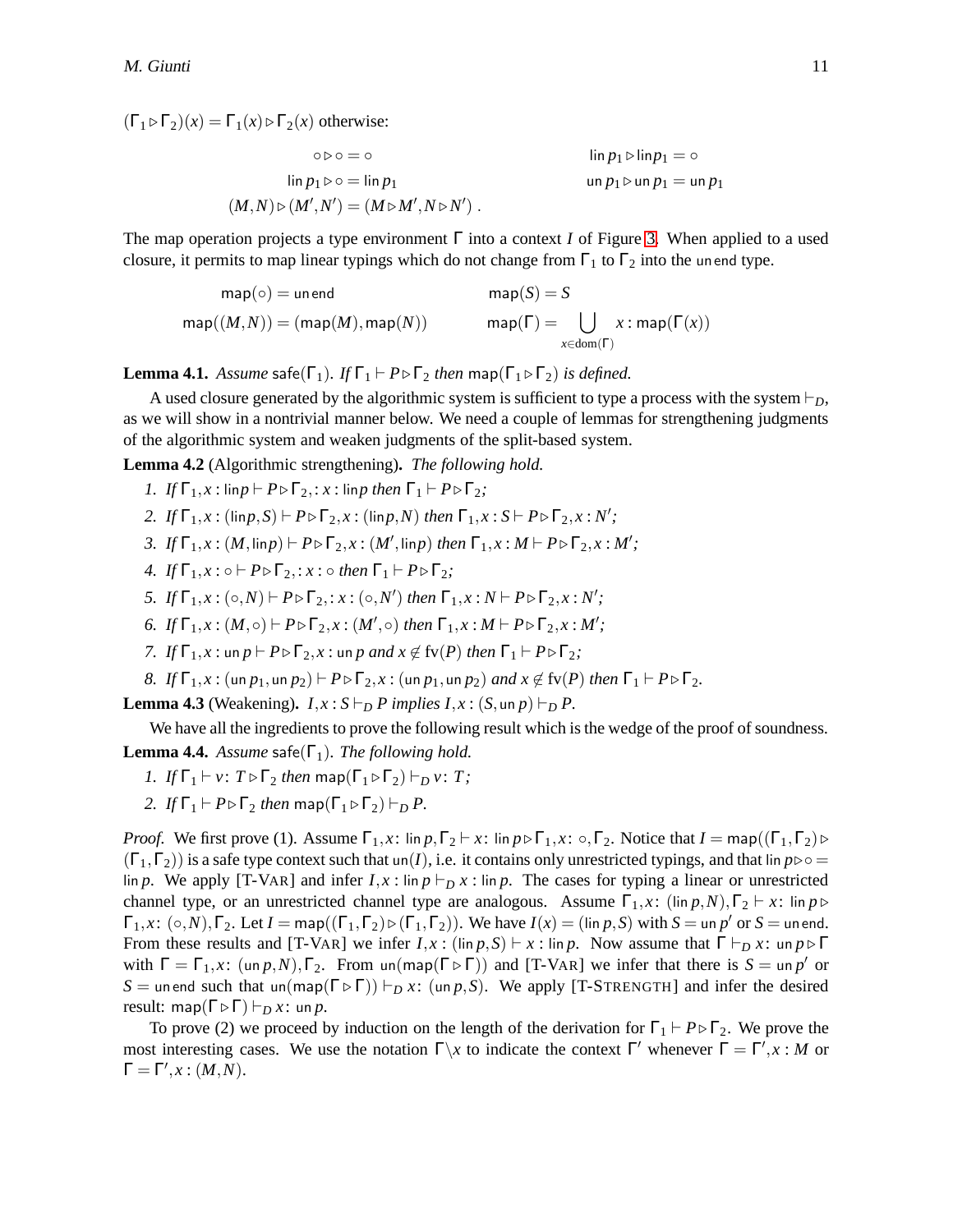$(\Gamma_1 \triangleright \Gamma_2)(x) = \Gamma_1(x) \triangleright \Gamma_2(x)$  otherwise:

$$
\circ \triangleright \circ = \circ
$$
\n
$$
\lim p_1 \triangleright \lim p_1 = \circ
$$
\n
$$
\lim p_1 \triangleright \infty = \lim p_1
$$
\n
$$
(M,N) \triangleright (M',N') = (M \triangleright M',N \triangleright N') .
$$
\n
$$
(M,N) \triangleright (M',N') = (M \triangleright M',N \triangleright N') .
$$

The map operation projects a type environment Γ into a context *I* of Figure [3.](#page-10-1) When applied to a used closure, it permits to map linear typings which do not change from  $\Gamma_1$  to  $\Gamma_2$  into the unend type.

$$
\mathsf{map}(\circ) = \mathsf{un}\,\mathsf{end} \qquad \qquad \mathsf{map}(S) = S
$$
\n
$$
\mathsf{map}((M,N)) = (\mathsf{map}(M), \mathsf{map}(N)) \qquad \qquad \mathsf{map}(\Gamma) = \bigcup_{x \in \mathsf{dom}(\Gamma)} x : \mathsf{map}(\Gamma(x))
$$

<span id="page-11-0"></span>**Lemma 4.1.** *Assume* safe( $\Gamma_1$ )*. If*  $\Gamma_1 \vdash P \triangleright \Gamma_2$  *then* map( $\Gamma_1 \triangleright \Gamma_2$ ) *is defined.* 

A used closure generated by the algorithmic system is sufficient to type a process with the system  $\vdash_{D}$ , as we will show in a nontrivial manner below. We need a couple of lemmas for strengthening judgments of the algorithmic system and weaken judgments of the split-based system.

<span id="page-11-2"></span>**Lemma 4.2** (Algorithmic strengthening)**.** *The following hold.*

*1. If*  $\Gamma_1$ *, x* : lin*p*  $\vdash P \triangleright \Gamma_2$ ,  $\vdots$  *x* : lin*p* then  $\Gamma_1 \vdash P \triangleright \Gamma_2$ ;

- *2. If*  $\Gamma_1, x : (\text{lin } p, S) \vdash P \triangleright \Gamma_2, x : (\text{lin } p, N)$  *then*  $\Gamma_1, x : S \vdash P \triangleright \Gamma_2, x : N'$ ;
- *3. If*  $\Gamma_1, x : (M, \text{lin } p) \vdash P \triangleright \Gamma_2, x : (M', \text{lin } p)$  *then*  $\Gamma_1, x : M \vdash P \triangleright \Gamma_2, x : M'$ ;
- *4. If*  $\Gamma_1$ *, x* :  $\circ \vdash P \triangleright \Gamma_2$ *; x* :  $\circ$  *then*  $\Gamma_1 \vdash P \triangleright \Gamma_2$ *;*
- *5. If*  $\Gamma_1, x : (\circ, N) \vdash P \triangleright \Gamma_2$ ,  $: x : (\circ, N')$  then  $\Gamma_1, x : N \vdash P \triangleright \Gamma_2, x : N'$ ;
- *6. If*  $\Gamma_1, x : (M, \circ) \vdash P \triangleright \Gamma_2, x : (M', \circ)$  *then*  $\Gamma_1, x : M \vdash P \triangleright \Gamma_2, x : M'$ ;
- *7. If*  $\Gamma_1$ *, x* : un *p*  $\vdash P \triangleright \Gamma_2$ *, x* : un *p and x*  $\notin$  fv(*P*) *then*  $\Gamma_1 \vdash P \triangleright \Gamma_2$ ;
- *8. If*  $\Gamma_1$ *,x* : (un  $p_1$ ,un  $p_2$ )  $\vdash P \triangleright \Gamma_2$ ,*x* : (un  $p_1$ ,un  $p_2$ ) *and x*  $\notin$  fv(*P*) *then*  $\Gamma_1 \vdash P \triangleright \Gamma_2$ .

<span id="page-11-1"></span>**Lemma 4.3** (Weakening).  $I, x : S \vdash_D P$  implies  $I, x : (S, \text{un } p) \vdash_D P$ .

We have all the ingredients to prove the following result which is the wedge of the proof of soundness.

<span id="page-11-3"></span>**Lemma 4.4.** *Assume* safe( $\Gamma_1$ )*. The following hold.* 

- *1. If*  $\Gamma_1 \vdash v$ :  $T \triangleright \Gamma_2$  *then* map( $\Gamma_1 \triangleright \Gamma_2$ )  $\vdash_D v$ : *T*;
- *2. If*  $\Gamma_1 \vdash P \triangleright \Gamma_2$  *then* map( $\Gamma_1 \triangleright \Gamma_2$ )  $\vdash_D P$ .

*Proof.* We first prove (1). Assume  $\Gamma_1$ , x: lin  $p, \Gamma_2 \vdash x$ : lin  $p \triangleright \Gamma_1$ ,  $x$ :  $\circ$ ,  $\Gamma_2$ . Notice that  $I = \text{map}((\Gamma_1, \Gamma_2) \triangleright \Gamma_2)$  $(\Gamma_1,\Gamma_2)$ ) is a safe type context such that un(*I*), i.e. it contains only unrestricted typings, and that lin  $p \triangleright \circ =$ lin *p*. We apply [T-VAR] and infer  $I, x$ : lin  $p \vdash_D x$ : lin *p*. The cases for typing a linear or unrestricted channel type, or an unrestricted channel type are analogous. Assume  $\Gamma_1$ ,*x*: (lin *p*,*N*),  $\Gamma_2$  ⊢ *x*: lin *p* ⊳  $\Gamma_1, x: (\circ, N), \Gamma_2$ . Let  $I = \textsf{map}((\Gamma_1, \Gamma_2) \triangleright (\Gamma_1, \Gamma_2))$ . We have  $I(x) = (\textsf{lin } p, S)$  with  $S = \textsf{un } p'$  or  $S = \textsf{un } \textsf{end}$ . From these results and [T-VAR] we infer  $I, x : (\lim p, S) \vdash x : \lim p$ . Now assume that  $\Gamma \vdash_D x : \lim p \triangleright \Gamma$ with  $\Gamma = \Gamma_1$ , x:  $(\text{un } p, N), \Gamma_2$ . From  $\text{un}(\text{map}(\Gamma \triangleright \Gamma))$  and [T-VAR] we infer that there is  $S = \text{un } p'$  or *S* = un end such that un(map( $\Gamma \triangleright \Gamma$ ))  $\vdash_D x$ : (un *p*,*S*). We apply [T-STRENGTH] and infer the desired result: map( $\Gamma \triangleright \Gamma$ )  $\vdash_D x$ : un *p*.

To prove (2) we proceed by induction on the length of the derivation for  $\Gamma_1 \vdash P \triangleright \Gamma_2$ . We prove the most interesting cases. We use the notation  $\Gamma \backslash x$  to indicate the context  $\Gamma'$  whenever  $\Gamma = \Gamma', x : M$  or  $\Gamma = \Gamma', x : (M, N).$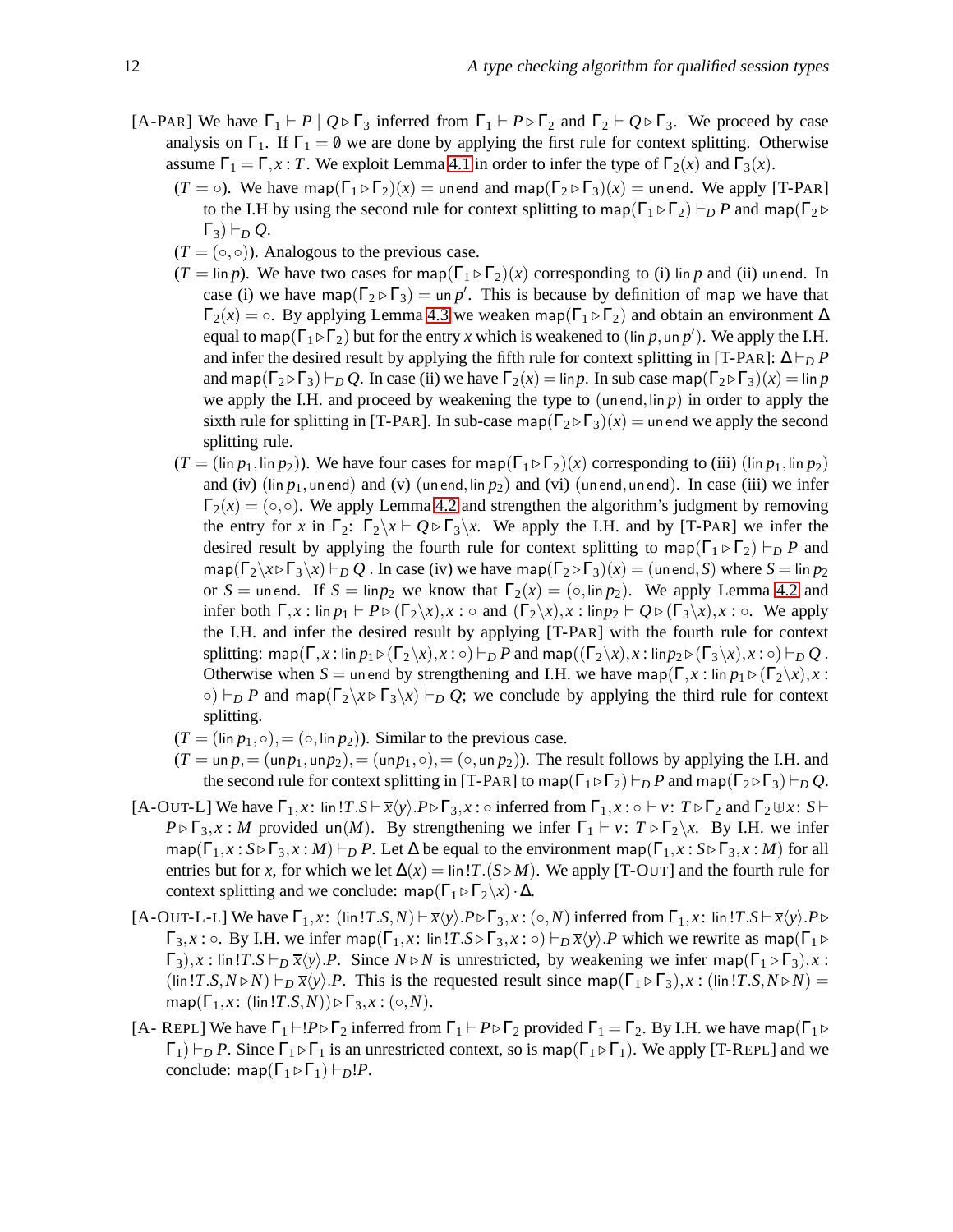- [A-PAR] We have  $\Gamma_1 \vdash P \mid Q \triangleright \Gamma_3$  inferred from  $\Gamma_1 \vdash P \triangleright \Gamma_2$  and  $\Gamma_2 \vdash Q \triangleright \Gamma_3$ . We proceed by case analysis on  $\Gamma_1$ . If  $\Gamma_1 = \emptyset$  we are done by applying the first rule for context splitting. Otherwise assume  $\Gamma_1 = \Gamma, x : T$ . We exploit Lemma [4.1](#page-11-0) in order to infer the type of  $\Gamma_2(x)$  and  $\Gamma_3(x)$ .
	- $(T = \circ)$ . We have map $(\Gamma_1 \triangleright \Gamma_2)(x) =$  unend and map $(\Gamma_2 \triangleright \Gamma_3)(x) =$  unend. We apply [T-PAR] to the I.H by using the second rule for context splitting to map( $\Gamma_1 \triangleright \Gamma_2$ )  $\vdash_D P$  and map( $\Gamma_2 \triangleright$  $\Gamma_3$ )  $\vdash_D Q$ .
	- $(T = (\circ, \circ))$ . Analogous to the previous case.
	- $(T = \lim p)$ . We have two cases for map( $\Gamma_1 \triangleright \Gamma_2(x)$  corresponding to (i) lin *p* and (ii) unend. In case (i) we have map( $\Gamma_2 \triangleright \Gamma_3$ ) = un p'. This is because by definition of map we have that  $\Gamma_2(x) = \circ$ . By applying Lemma [4.3](#page-11-1) we weaken map( $\Gamma_1 \triangleright \Gamma_2$ ) and obtain an environment  $\Delta$ equal to map( $\Gamma_1 \triangleright \Gamma_2$ ) but for the entry *x* which is weakened to (lin *p*, un *p'*). We apply the I.H. and infer the desired result by applying the fifth rule for context splitting in [T-PAR]:  $\Delta \vdash_D P$ and map( $\Gamma_2 \triangleright \Gamma_3$ )  $\vdash_D Q$ . In case (ii) we have  $\Gamma_2(x) = \lim p$ . In sub case map( $\Gamma_2 \triangleright \Gamma_3(x) = \lim p$ we apply the I.H. and proceed by weakening the type to  $($ un end,lin  $p)$  in order to apply the sixth rule for splitting in [T-PAR]. In sub-case map( $\Gamma_2 \triangleright \Gamma_3(x) =$  unend we apply the second splitting rule.
	- $(T = (\text{lin } p_1, \text{lin } p_2))$ . We have four cases for map( $\Gamma_1 \triangleright \Gamma_2(x)$  corresponding to (iii) ( $\text{lin } p_1, \text{lin } p_2$ ) and (iv) (lin  $p_1$ , un end) and (v) (un end, lin  $p_2$ ) and (vi) (un end, un end). In case (iii) we infer  $\Gamma_2(x) = (\circ, \circ)$ . We apply Lemma [4.2](#page-11-2) and strengthen the algorithm's judgment by removing the entry for *x* in  $\Gamma_2$ :  $\Gamma_2 \backslash x \vdash Q \triangleright \Gamma_3 \backslash x$ . We apply the I.H. and by [T-PAR] we infer the desired result by applying the fourth rule for context splitting to map( $\Gamma_1 \triangleright \Gamma_2$ )  $\vdash_p P$  and  $map(\Gamma_2\setminus x\triangleright\Gamma_3\setminus x)\vdash_D Q$ . In case (iv) we have map( $\Gamma_2\triangleright\Gamma_3(x) = (un end, S)$  where  $S = \lim p_2$ or  $S =$  unend. If  $S = \lim p_2$  we know that  $\Gamma_2(x) = (\circ, \lim p_2)$ . We apply Lemma [4.2](#page-11-2) and infer both  $\Gamma, x : \lim p_1 \vdash P \triangleright (\Gamma_2 \setminus x), x : \circ \text{ and } (\Gamma_2 \setminus x), x : \lim p_2 \vdash Q \triangleright (\Gamma_3 \setminus x), x : \circ$ . We apply the I.H. and infer the desired result by applying [T-PAR] with the fourth rule for context splitting: map( $\Gamma$ ,*x* : lin  $p_1 \triangleright (\Gamma_2 \setminus x)$ ,  $x : \circ$ ) ⊢*D P* and map( $(\Gamma_2 \setminus x)$ ,  $x : \text{lin } p_2 \triangleright (\Gamma_3 \setminus x)$ ,  $x : \circ$ ) ⊢*D Q* . Otherwise when *S* = unend by strengthening and I.H. we have map( $\Gamma, x : \text{lin } p_1 \triangleright (\Gamma_2 \setminus x), x :$  $\circ$ )  $\vdash_D P$  and map( $\Gamma_2 \setminus x \triangleright \Gamma_3 \setminus x$ )  $\vdash_D Q$ ; we conclude by applying the third rule for context splitting.
	- $(T = (\text{lin } p_1, \circ), = (\circ, \text{lin } p_2)$ . Similar to the previous case.
	- $(T = \text{un } p, = (\text{un } p_1, \text{un } p_2), = (\text{un } p_1, \circ), = (\circ, \text{un } p_2)$ . The result follows by applying the I.H. and the second rule for context splitting in [T-PAR] to map( $\Gamma_1 \triangleright \Gamma_2$ )  $\vdash_D P$  and map( $\Gamma_2 \triangleright \Gamma_3$ )  $\vdash_D Q$ .
- [A-OUT-L] We have  $\Gamma_1, x$ : lin!*T*.*S*  $\vdash \overline{x}\langle y \rangle$ .*P* $\triangleright$   $\Gamma_3, x$ : inferred from  $\Gamma_1, x$ : ⊢  $v$ :  $T \triangleright \Gamma_2$  and  $\Gamma_2 \uplus x$ : *S* ⊢ *P* ⊳  $\Gamma_3$ , *x* : *M* provided un(*M*). By strengthening we infer  $\Gamma_1$  ⊢ *v*:  $T$  ⊳  $\Gamma_2$  \*x*. By I.H. we infer  $map(\Gamma_1, x : S \triangleright \Gamma_3, x : M) \vdash_D P$ . Let  $\Delta$  be equal to the environment map( $\Gamma_1, x : S \triangleright \Gamma_3, x : M$ ) for all entries but for *x*, for which we let  $\Delta(x) = \ln |T(S \triangleright M)|$ . We apply [T-OUT] and the fourth rule for context splitting and we conclude: map( $\Gamma_1 \triangleright \Gamma_2 \setminus x$ ) ·  $\Delta$ .
- $[A-OUT-L-L]$  We have  $\Gamma_1, x$ : (lin!*T.S,N*)  $\models \overline{x}\langle y \rangle \cdot P \triangleright \Gamma_3, x$ : (◦,*N*) inferred from  $\Gamma_1, x$ : lin!*T.S*  $\models \overline{x}\langle y \rangle \cdot P \triangleright$  $\Gamma_3, x : \circ$ . By I.H. we infer map( $\Gamma_1, x : \text{lin } !T.S \triangleright \Gamma_3, x : \circ$ )  $\vdash_D \overline{x} \langle y \rangle$ . *P* which we rewrite as map( $\Gamma_1 \triangleright$  $\Gamma_3$ ),*x* : lin!*T*.*S*  $\vdash_D \overline{x} \langle y \rangle$ .*P*. Since  $N \triangleright N$  is unrestricted, by weakening we infer map( $\Gamma_1 \triangleright \Gamma_3$ ),*x* :  $(\lim T.S,N \triangleright N) \vdash_D \overline{x} \langle y \rangle$ . *P*. This is the requested result since map( $\Gamma_1 \triangleright \Gamma_3$ ), *x* : (lin!*T.S,N* $\triangleright N$ ) =  $map(\Gamma_1, x: (\text{lin } !T.S, N)) \triangleright \Gamma_3, x: (\circ, N).$
- [A- REPL] We have  $\Gamma_1 \vdash !P \triangleright \Gamma_2$  inferred from  $\Gamma_1 \vdash P \triangleright \Gamma_2$  provided  $\Gamma_1 = \Gamma_2$ . By I.H. we have map( $\Gamma_1 \triangleright$  $\Gamma_1$ )  $\vdash_D P$ . Since  $\Gamma_1 \triangleright \Gamma_1$  is an unrestricted context, so is map( $\Gamma_1 \triangleright \Gamma_1$ ). We apply [T-REPL] and we conclude: map( $\Gamma_1 \triangleright \Gamma_1$ )  $\vdash_D!P$ .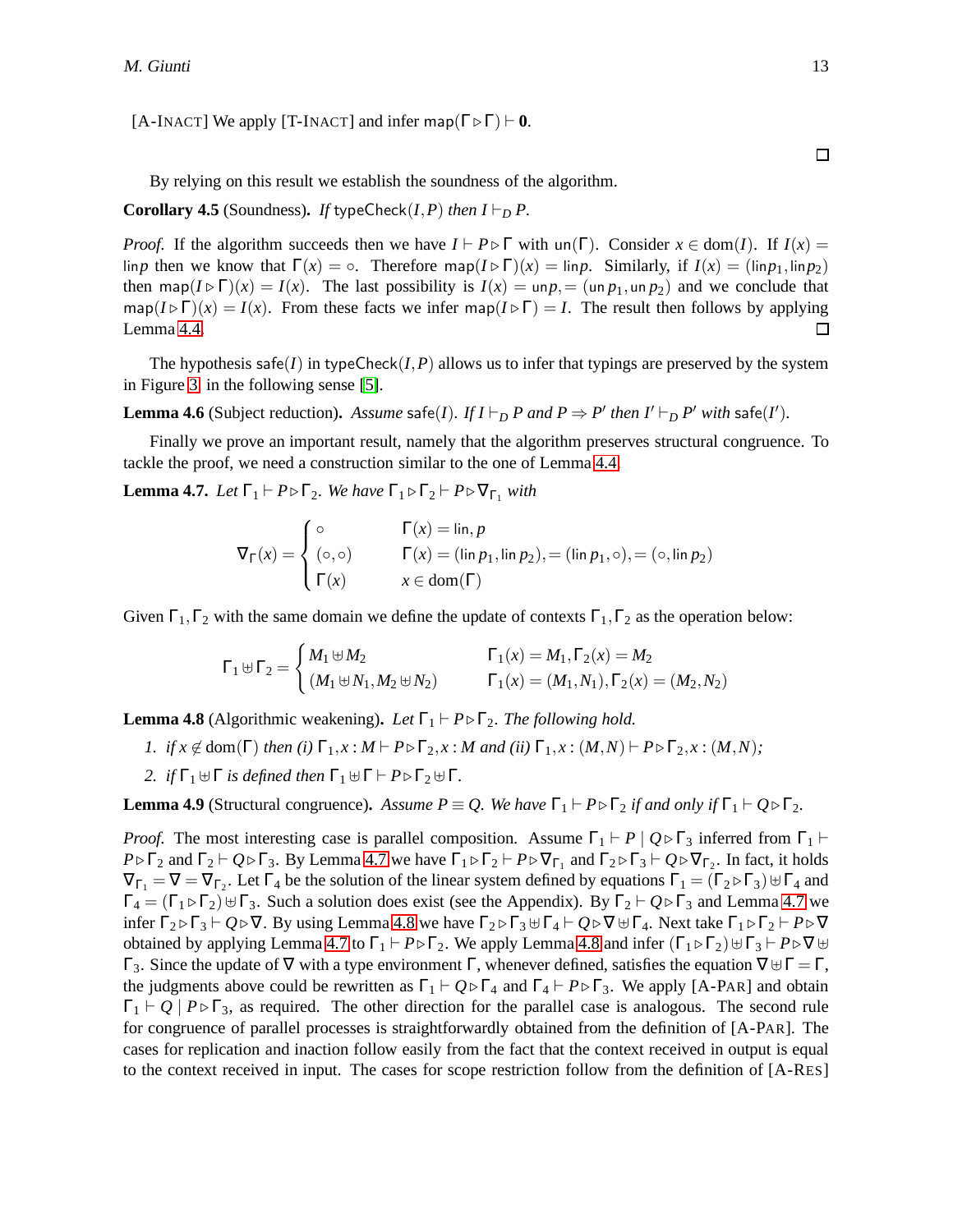[A-INACT] We apply [T-INACT] and infer map( $\Gamma \triangleright \Gamma$ )  $\vdash$  **0**.

 $\Box$ 

<span id="page-13-2"></span>By relying on this result we establish the soundness of the algorithm.

#### **Corollary 4.5** (Soundness). *If* typeCheck $(I, P)$  *then*  $I \vdash_D P$ .

*Proof.* If the algorithm succeeds then we have  $I \vdash P \triangleright \Gamma$  with un( $\Gamma$ ). Consider  $x \in \text{dom}(I)$ . If  $I(x) =$ lin*p* then we know that  $\Gamma(x) = \circ$ . Therefore map( $I \triangleright \Gamma(x) = \lim p$ . Similarly, if  $I(x) = (\lim p_1, \lim p_2)$ ) then map( $I \triangleright \Gamma(x) = I(x)$ . The last possibility is  $I(x) = \text{un } p_1 = (\text{un } p_1, \text{un } p_2)$  and we conclude that  $\text{map}(I \triangleright \Gamma)(x) = I(x)$ . From these facts we infer map( $I \triangleright \Gamma$ ) = *I*. The result then follows by applying  $\Box$ Lemma [4.4.](#page-11-3)

<span id="page-13-3"></span>The hypothesis safe(*I*) in typeCheck(*I*,*P*) allows us to infer that typings are preserved by the system in Figure [3,](#page-10-1) in the following sense [\[5\]](#page-18-4).

**Lemma 4.6** (Subject reduction). Assume safe(*I*). If  $I \vdash_D P$  and  $P \Rightarrow P'$  then  $I' \vdash_D P'$  with safe(*I'*).

<span id="page-13-0"></span>Finally we prove an important result, namely that the algorithm preserves structural congruence. To tackle the proof, we need a construction similar to the one of Lemma [4.4.](#page-11-3)

**Lemma 4.7.** *Let*  $\Gamma_1 \vdash P \triangleright \Gamma_2$ *. We have*  $\Gamma_1 \triangleright \Gamma_2 \vdash P \triangleright \nabla_{\Gamma_1}$  *with* 

$$
\nabla_{\Gamma}(x) = \begin{cases}\n\circ & \Gamma(x) = \lim, p \\
(\circ, \circ) & \Gamma(x) = (\lim p_1, \lim p_2), \\
\Gamma(x) & x \in \text{dom}(\Gamma)\n\end{cases} \quad (\text{in } p_1, \circ), = (\circ, \lim p_2)
$$

Given  $\Gamma_1, \Gamma_2$  with the same domain we define the update of contexts  $\Gamma_1, \Gamma_2$  as the operation below:

$$
\Gamma_1 \uplus \Gamma_2 = \begin{cases} M_1 \uplus M_2 & \Gamma_1(x) = M_1, \Gamma_2(x) = M_2 \\ (M_1 \uplus N_1, M_2 \uplus N_2) & \Gamma_1(x) = (M_1, N_1), \Gamma_2(x) = (M_2, N_2) \end{cases}
$$

<span id="page-13-1"></span>**Lemma 4.8** (Algorithmic weakening). Let  $\Gamma_1 \vdash P \triangleright \Gamma_2$ . The following hold.

- *I. if*  $x \notin \text{dom}(\Gamma)$  *then* (*i*)  $\Gamma_1, x : M \vdash P \triangleright \Gamma_2, x : M$  *and* (*ii*)  $\Gamma_1, x : (M, N) \vdash P \triangleright \Gamma_2, x : (M, N)$ ;
- *2. if*  $\Gamma_1 \oplus \Gamma$  *is defined then*  $\Gamma_1 \oplus \Gamma \vdash P \triangleright \Gamma_2 \oplus \Gamma$ *.*

<span id="page-13-4"></span>**Lemma 4.9** (Structural congruence). Assume  $P \equiv Q$ . We have  $\Gamma_1 \vdash P \triangleright \Gamma_2$  *if and only if*  $\Gamma_1 \vdash Q \triangleright \Gamma_2$ .

*Proof.* The most interesting case is parallel composition. Assume  $\Gamma_1 \vdash P \mid Q \triangleright \Gamma_3$  inferred from  $\Gamma_1 \vdash P$  $P \triangleright \Gamma_2$  and  $\Gamma_2 \vdash Q \triangleright \Gamma_3$ . By Lemma [4.7](#page-13-0) we have  $\Gamma_1 \triangleright \Gamma_2 \vdash P \triangleright \nabla_{\Gamma_1}$  and  $\Gamma_2 \triangleright \Gamma_3 \vdash Q \triangleright \nabla_{\Gamma_2}$ . In fact, it holds  $\nabla_{\Gamma_1} = \nabla = \nabla_{\Gamma_2}$ . Let  $\Gamma_4$  be the solution of the linear system defined by equations  $\Gamma_1 = (\Gamma_2 \triangleright \Gamma_3) \uplus \Gamma_4$  and  $\Gamma_4 = (\Gamma_1 \triangleright \Gamma_2) \oplus \Gamma_3$ . Such a solution does exist (see the Appendix). By  $\Gamma_2 \vdash Q \triangleright \Gamma_3$  and Lemma [4.7](#page-13-0) we infer  $\Gamma_2 \triangleright \Gamma_3 \vdash Q \triangleright \nabla$ . By using Lemma [4.8](#page-13-1) we have  $\Gamma_2 \triangleright \Gamma_3 \uplus \Gamma_4 \vdash Q \triangleright \nabla \uplus \Gamma_4$ . Next take  $\Gamma_1 \triangleright \Gamma_2 \vdash P \triangleright \nabla$ obtained by applying Lemma [4.7](#page-13-0) to  $\Gamma_1$  ⊢  $P \triangleright \Gamma_2$ . We apply Lemma [4.8](#page-13-1) and infer  $(\Gamma_1 \triangleright \Gamma_2) \cup \Gamma_3$  ⊢  $P \triangleright \nabla \cup \Gamma_1$  $Γ_3$ . Since the update of  $∇$  with a type environment Γ, whenever defined, satisfies the equation  $∇ ⊎ Γ = Γ$ , the judgments above could be rewritten as  $\Gamma_1 \vdash Q \triangleright \Gamma_4$  and  $\Gamma_4 \vdash P \triangleright \Gamma_3$ . We apply [A-PAR] and obtain  $\Gamma_1 \vdash Q \mid P \triangleright \Gamma_3$ , as required. The other direction for the parallel case is analogous. The second rule for congruence of parallel processes is straightforwardly obtained from the definition of [A-PAR]. The cases for replication and inaction follow easily from the fact that the context received in output is equal to the context received in input. The cases for scope restriction follow from the definition of [A-RES]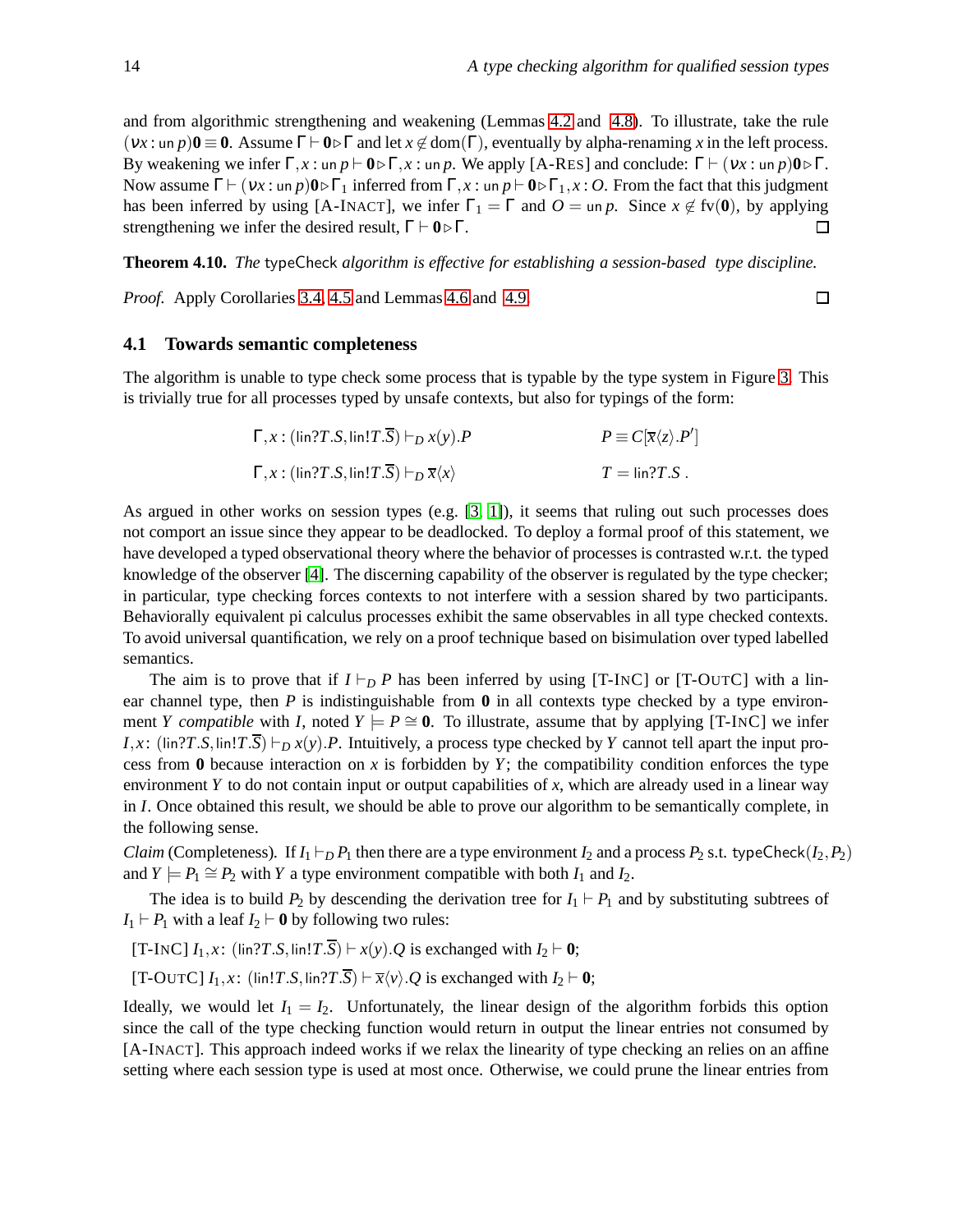$\Box$ 

and from algorithmic strengthening and weakening (Lemmas [4.2](#page-11-2) and [4.8\)](#page-13-1). To illustrate, take the rule  $(vx: \text{un } p)$ **0**  $\equiv$  **0**. Assume  $\Gamma \vdash$  **0** $\triangleright \Gamma$  and let  $x \notin \text{dom}(\Gamma)$ , eventually by alpha-renaming x in the left process. By weakening we infer  $\Gamma$ , *x* : un *p*  $\vdash$  **0**  $\square$  $\Gamma$ , *x* : un *p*. We apply [A-RES] and conclude:  $\Gamma$   $\vdash$   $(vx : un p)$ **0**  $\square$  $\Gamma$ . Now assume Γ  $\vdash$  (*νx* : un *p*)  $\mathbf{0}$  ⊳  $\Gamma_1$  inferred from  $\Gamma, x$  : un *p*  $\vdash$   $\mathbf{0}$  ⊳  $\Gamma_1, x$  : *O*. From the fact that this judgment has been inferred by using [A-INACT], we infer  $\Gamma_1 = \Gamma$  and  $O = \text{un } p$ . Since  $x \notin f(v(0))$ , by applying strengthening we infer the desired result,  $\Gamma \vdash 0 \triangleright \Gamma$ .  $\Box$ 

**Theorem 4.10.** *The* typeCheck *algorithm is effective for establishing a session-based type discipline.*

*Proof.* Apply Corollaries [3.4,](#page-9-0) [4.5](#page-13-2) and Lemmas [4.6](#page-13-3) and [4.9.](#page-13-4)

#### **4.1 Towards semantic completeness**

The algorithm is unable to type check some process that is typable by the type system in Figure [3.](#page-10-1) This is trivially true for all processes typed by unsafe contexts, but also for typings of the form:

| $\Gamma, x : (\text{lin?}T.S, \text{lin!}T.\overline{S}) \vdash_D x(y).P$                        | $P \equiv C[\overline{x}\langle z\rangle.P']$ |
|--------------------------------------------------------------------------------------------------|-----------------------------------------------|
| $\Gamma, x : (\text{lin?}T.S, \text{lin!}T.\overline{S}) \vdash_D \overline{x}\langle x \rangle$ | $T = \lim_{T \to \infty} T.S$ .               |

As argued in other works on session types (e.g. [\[3,](#page-18-7) [1\]](#page-17-1)), it seems that ruling out such processes does not comport an issue since they appear to be deadlocked. To deploy a formal proof of this statement, we have developed a typed observational theory where the behavior of processes is contrasted w.r.t. the typed knowledge of the observer [\[4\]](#page-18-9). The discerning capability of the observer is regulated by the type checker; in particular, type checking forces contexts to not interfere with a session shared by two participants. Behaviorally equivalent pi calculus processes exhibit the same observables in all type checked contexts. To avoid universal quantification, we rely on a proof technique based on bisimulation over typed labelled semantics.

The aim is to prove that if  $I \vdash_D P$  has been inferred by using [T-INC] or [T-OUTC] with a linear channel type, then  $P$  is indistinguishable from  $\bf{0}$  in all contexts type checked by a type environment *Y compatible* with *I*, noted  $Y \models P \cong 0$ . To illustrate, assume that by applying [T-INC] we infer *I*,*x*: (lin?*T*.*S*,lin!*T*.*S*) ⊢*D x*(*y*).*P*. Intuitively, a process type checked by *Y* cannot tell apart the input process from  $\bf{0}$  because interaction on *x* is forbidden by *Y*; the compatibility condition enforces the type environment *Y* to do not contain input or output capabilities of *x*, which are already used in a linear way in *I*. Once obtained this result, we should be able to prove our algorithm to be semantically complete, in the following sense.

*Claim* (Completeness). If  $I_1 \vdash_D P_1$  then there are a type environment  $I_2$  and a process  $P_2$  s.t. typeCheck( $I_2, P_2$ ) and  $Y \models P_1 \cong P_2$  with *Y* a type environment compatible with both  $I_1$  and  $I_2$ .

The idea is to build  $P_2$  by descending the derivation tree for  $I_1 \vdash P_1$  and by substituting subtrees of *I*<sub>1</sub> ⊢ *P*<sub>1</sub> with a leaf *I*<sub>2</sub> ⊢ **0** by following two rules:

[T-INC] *I*1,*x*: (lin?*T*.*S*,lin!*T*.*S*) ⊢ *x*(*y*).*Q* is exchanged with *I*<sup>2</sup> ⊢ **0**;

 $[T-OUTC] I_1, x$ : (lin!*T.S.lin?T.S*) ⊢  $\overline{x}\langle v \rangle$ .*Q* is exchanged with  $I_2 \vdash 0$ ;

Ideally, we would let  $I_1 = I_2$ . Unfortunately, the linear design of the algorithm forbids this option since the call of the type checking function would return in output the linear entries not consumed by [A-INACT]. This approach indeed works if we relax the linearity of type checking an relies on an affine setting where each session type is used at most once. Otherwise, we could prune the linear entries from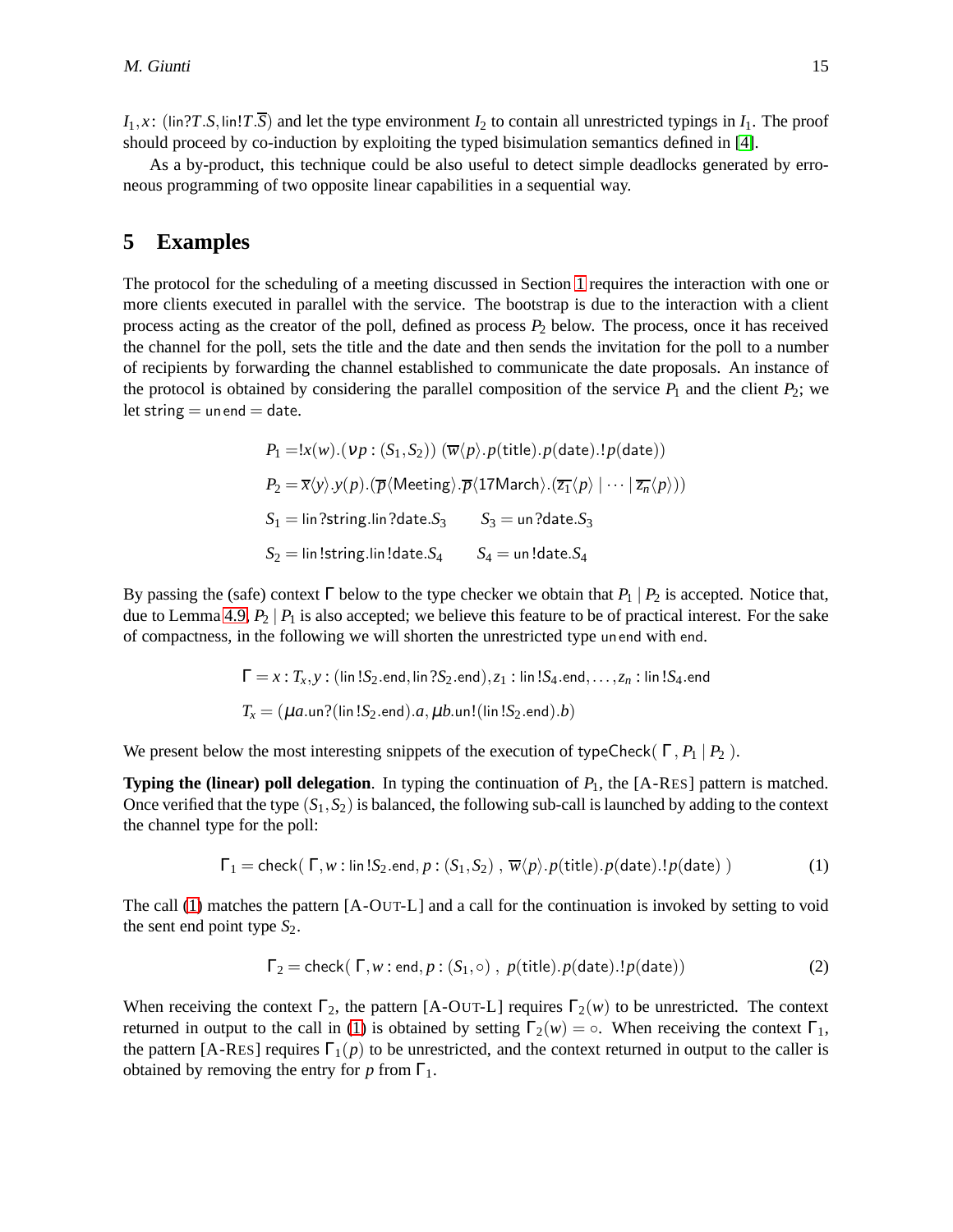$I_1, x$ : (lin?*T*.*S*, lin!*T*.*S*) and let the type environment  $I_2$  to contain all unrestricted typings in  $I_1$ . The proof should proceed by co-induction by exploiting the typed bisimulation semantics defined in [\[4\]](#page-18-9).

As a by-product, this technique could be also useful to detect simple deadlocks generated by erroneous programming of two opposite linear capabilities in a sequential way.

## <span id="page-15-0"></span>**5 Examples**

The protocol for the scheduling of a meeting discussed in Section [1](#page-1-0) requires the interaction with one or more clients executed in parallel with the service. The bootstrap is due to the interaction with a client process acting as the creator of the poll, defined as process *P*<sup>2</sup> below. The process, once it has received the channel for the poll, sets the title and the date and then sends the invitation for the poll to a number of recipients by forwarding the channel established to communicate the date proposals. An instance of the protocol is obtained by considering the parallel composition of the service  $P_1$  and the client  $P_2$ ; we let string  $=$  un end  $=$  date.

$$
P_1 = !x(w) . (vp : (S_1, S_2)) (\overline{w} \langle p \rangle . p(\text{title}). p(\text{date}).! p(\text{date}))
$$
  
\n
$$
P_2 = \overline{x} \langle y \rangle . y(p) . (\overline{p} \langle \text{Meeting} \rangle . \overline{p} \langle 17 \text{March} \rangle . (\overline{z_1} \langle p \rangle | \cdots | \overline{z_n} \langle p \rangle))
$$
  
\n
$$
S_1 = \lim \text{?string} . \lim \text{?date}. S_3 \qquad S_3 = \text{un?date}. S_3
$$
  
\n
$$
S_2 = \lim \text{!string} . \lim \text{!date}. S_4 \qquad S_4 = \text{un!date}. S_4
$$

By passing the (safe) context  $\Gamma$  below to the type checker we obtain that  $P_1 \mid P_2$  is accepted. Notice that, due to Lemma [4.9,](#page-13-4)  $P_2 | P_1$  is also accepted; we believe this feature to be of practical interest. For the sake of compactness, in the following we will shorten the unrestricted type un end with end.

$$
\Gamma = x : T_x, y : (\text{lin } !S_2.\text{end}, \text{lin } ?S_2.\text{end}), z_1 : \text{lin } !S_4.\text{end}, \dots, z_n : \text{lin } !S_4.\text{end}
$$

$$
T_x = (\mu a.\text{un} ?(\text{lin } !S_2.\text{end}).a, \mu b.\text{un} !(\text{lin } !S_2.\text{end}).b)
$$

We present below the most interesting snippets of the execution of typeCheck( $\Gamma$ ,  $P_1$  |  $P_2$ ).

**Typing the (linear) poll delegation.** In typing the continuation of  $P_1$ , the  $[A-RES]$  pattern is matched. Once verified that the type  $(S_1, S_2)$  is balanced, the following sub-call is launched by adding to the context the channel type for the poll:

<span id="page-15-1"></span>
$$
\Gamma_1 = \text{check}(\Gamma, w : \text{lin} \, !S_2.\text{end}, p : (S_1, S_2), \, \overline{w}\langle p \rangle. p(\text{title}).p(\text{date}).!p(\text{date}) )
$$
 (1)

The call [\(1\)](#page-15-1) matches the pattern [A-OUT-L] and a call for the continuation is invoked by setting to void the sent end point type  $S_2$ .

$$
\Gamma_2 = \text{check}(\Gamma, w : \text{end}, p : (S_1, \circ), p(\text{title}).p(\text{date}).!p(\text{date}))
$$
\n(2)

When receiving the context  $\Gamma_2$ , the pattern [A-OUT-L] requires  $\Gamma_2(w)$  to be unrestricted. The context returned in output to the call in [\(1\)](#page-15-1) is obtained by setting  $\Gamma_2(w) = \circ$ . When receiving the context  $\Gamma_1$ , the pattern [A-RES] requires  $\Gamma_1(p)$  to be unrestricted, and the context returned in output to the caller is obtained by removing the entry for *p* from  $\Gamma_1$ .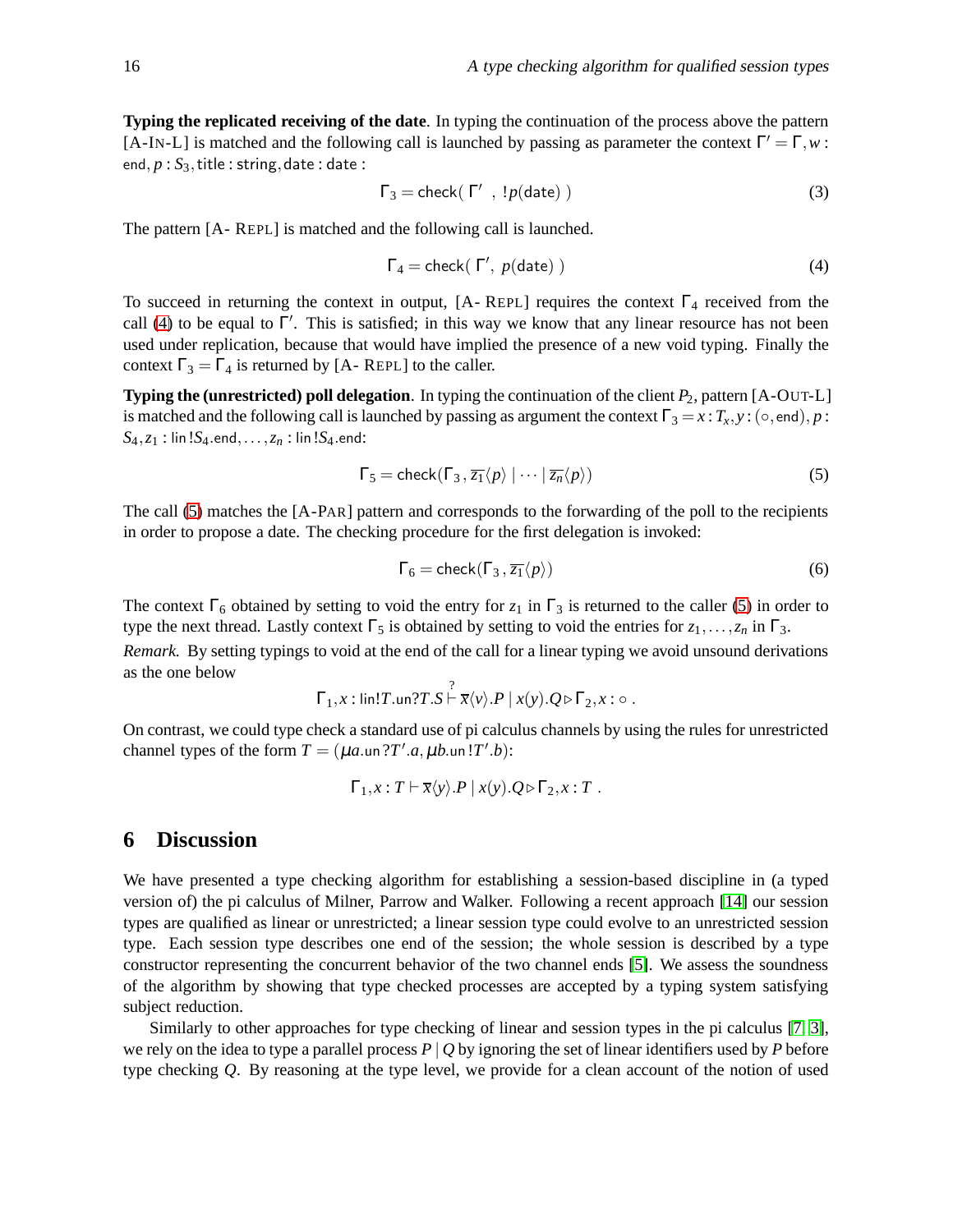**Typing the replicated receiving of the date**. In typing the continuation of the process above the pattern [A-IN-L] is matched and the following call is launched by passing as parameter the context  $\Gamma' = \Gamma, w$ : end,  $p : S_3$ , title : string, date : date :

$$
\Gamma_3 = \text{check}(\ \Gamma' \ , \ !p(\text{date}) \ ) \tag{3}
$$

The pattern [A- REPL] is matched and the following call is launched.

<span id="page-16-1"></span>
$$
\Gamma_4 = \text{check}(\Gamma', p(\text{date})\text{)}
$$
\n<sup>(4)</sup>

To succeed in returning the context in output,  $[A - REPL]$  requires the context  $\Gamma_4$  received from the call [\(4\)](#page-16-1) to be equal to  $\Gamma'$ . This is satisfied; in this way we know that any linear resource has not been used under replication, because that would have implied the presence of a new void typing. Finally the context  $\Gamma_3 = \Gamma_4$  is returned by [A- REPL] to the caller.

**Typing the (unrestricted) poll delegation**. In typing the continuation of the client *P*2, pattern [A-OUT-L] is matched and the following call is launched by passing as argument the context  $\Gamma_3 = x : T_x, y : (\circ, \text{end}), p$ :  $S_4, z_1$  : lin! $S_4$ .end,..., $z_n$  : lin! $S_4$ .end:

$$
\Gamma_5 = \text{check}(\Gamma_3, \overline{z_1} \langle p \rangle \mid \dots \mid \overline{z_n} \langle p \rangle)
$$
 (5)

The call [\(5\)](#page-16-2) matches the [A-PAR] pattern and corresponds to the forwarding of the poll to the recipients in order to propose a date. The checking procedure for the first delegation is invoked:

<span id="page-16-2"></span>
$$
\Gamma_6 = \text{check}(\Gamma_3, \overline{z_1} \langle p \rangle) \tag{6}
$$

The context  $\Gamma_6$  obtained by setting to void the entry for  $z_1$  in  $\Gamma_3$  is returned to the caller [\(5\)](#page-16-2) in order to type the next thread. Lastly context  $\Gamma_5$  is obtained by setting to void the entries for  $z_1, \ldots, z_n$  in  $\Gamma_3$ .

*Remark.* By setting typings to void at the end of the call for a linear typing we avoid unsound derivations as the one below

$$
\Gamma_1, x : \text{lin!} T.\text{un?} T.S \overset{?}{\vdash} \overline{x} \langle v \rangle.P \mid x(y).Q \triangleright \Gamma_2, x : \circ.
$$

On contrast, we could type check a standard use of pi calculus channels by using the rules for unrestricted channel types of the form  $T = (\mu a \cdot \text{un} ?T' \cdot a, \mu b \cdot \text{un} ?T' \cdot b)$ :

$$
\Gamma_1, x : T \vdash \overline{x} \langle y \rangle.P \mid x(y).Q \triangleright \Gamma_2, x : T .
$$

### <span id="page-16-0"></span>**6 Discussion**

We have presented a type checking algorithm for establishing a session-based discipline in (a typed version of) the pi calculus of Milner, Parrow and Walker. Following a recent approach [\[14\]](#page-18-3) our session types are qualified as linear or unrestricted; a linear session type could evolve to an unrestricted session type. Each session type describes one end of the session; the whole session is described by a type constructor representing the concurrent behavior of the two channel ends [\[5\]](#page-18-4). We assess the soundness of the algorithm by showing that type checked processes are accepted by a typing system satisfying subject reduction.

Similarly to other approaches for type checking of linear and session types in the pi calculus [\[7,](#page-18-6) [3\]](#page-18-7), we rely on the idea to type a parallel process *P* | *Q* by ignoring the set of linear identifiers used by *P* before type checking *Q*. By reasoning at the type level, we provide for a clean account of the notion of used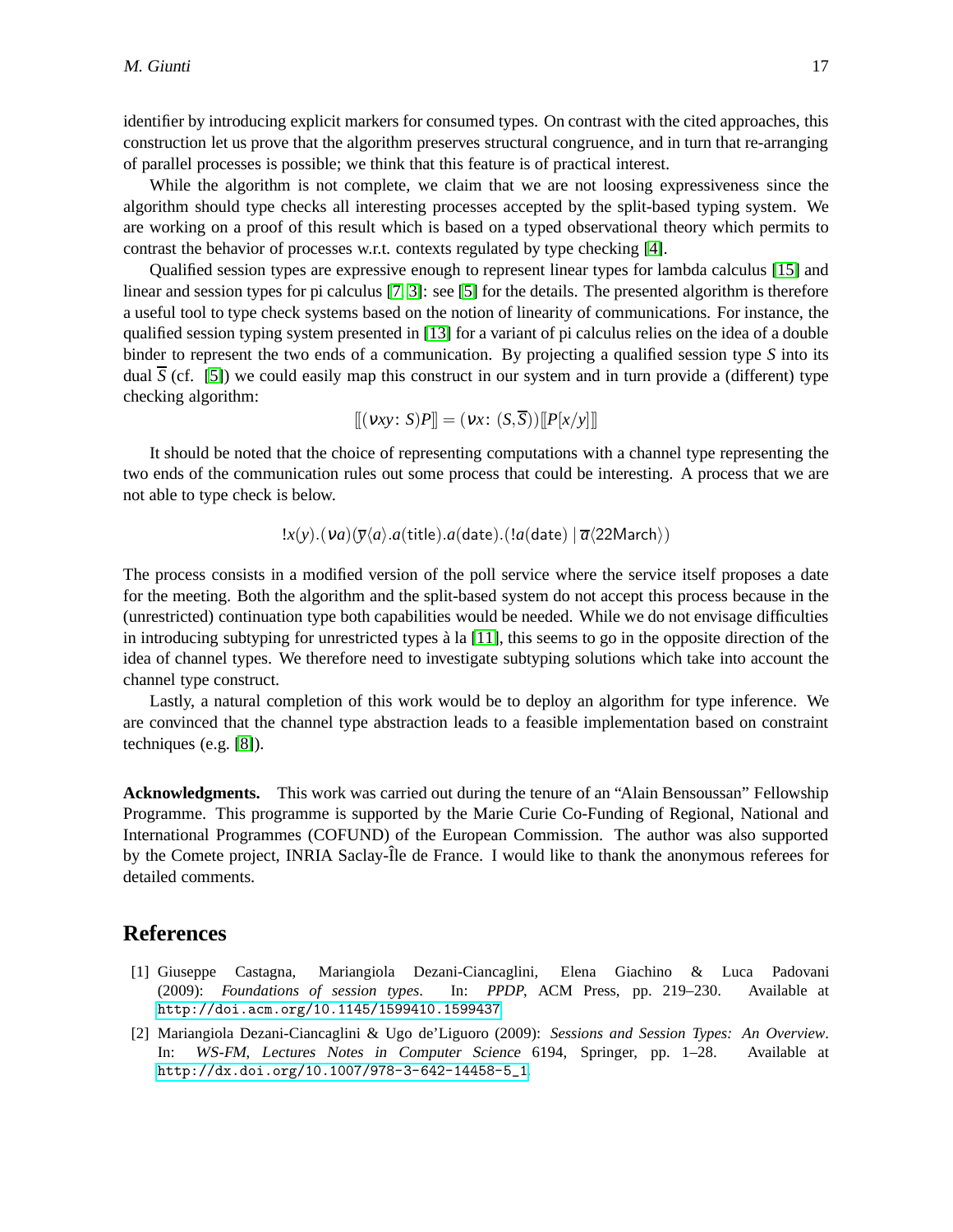identifier by introducing explicit markers for consumed types. On contrast with the cited approaches, this construction let us prove that the algorithm preserves structural congruence, and in turn that re-arranging of parallel processes is possible; we think that this feature is of practical interest.

While the algorithm is not complete, we claim that we are not loosing expressiveness since the algorithm should type checks all interesting processes accepted by the split-based typing system. We are working on a proof of this result which is based on a typed observational theory which permits to contrast the behavior of processes w.r.t. contexts regulated by type checking [\[4\]](#page-18-9).

Qualified session types are expressive enough to represent linear types for lambda calculus [\[15\]](#page-18-5) and linear and session types for pi calculus [\[7,](#page-18-6) [3\]](#page-18-7): see [\[5\]](#page-18-4) for the details. The presented algorithm is therefore a useful tool to type check systems based on the notion of linearity of communications. For instance, the qualified session typing system presented in [\[13\]](#page-18-10) for a variant of pi calculus relies on the idea of a double binder to represent the two ends of a communication. By projecting a qualified session type *S* into its dual  $\overline{S}$  (cf. [\[5\]](#page-18-4)) we could easily map this construct in our system and in turn provide a (different) type checking algorithm:

$$
[[(\nu xy: S)P]] = (\nu x: (S,\overline{S}))[[P[x/y]]]
$$

It should be noted that the choice of representing computations with a channel type representing the two ends of the communication rules out some process that could be interesting. A process that we are not able to type check is below.

 $\langle x(y) \cdot (va)(\overline{y}\langle a \rangle \cdot a(\text{title}) \cdot a(\text{date}) \cdot (!\mathscr{a}(\text{date}) \mid \overline{a}\langle 22\text{March}\rangle)$ 

The process consists in a modified version of the poll service where the service itself proposes a date for the meeting. Both the algorithm and the split-based system do not accept this process because in the (unrestricted) continuation type both capabilities would be needed. While we do not envisage difficulties in introducing subtyping for unrestricted types  $\lambda$  la [\[11\]](#page-18-11), this seems to go in the opposite direction of the idea of channel types. We therefore need to investigate subtyping solutions which take into account the channel type construct.

Lastly, a natural completion of this work would be to deploy an algorithm for type inference. We are convinced that the channel type abstraction leads to a feasible implementation based on constraint techniques (e.g. [\[8\]](#page-18-12)).

**Acknowledgments.** This work was carried out during the tenure of an "Alain Bensoussan" Fellowship Programme. This programme is supported by the Marie Curie Co-Funding of Regional, National and International Programmes (COFUND) of the European Commission. The author was also supported by the Comete project, INRIA Saclay-Île de France. I would like to thank the anonymous referees for detailed comments.

#### <span id="page-17-1"></span>**References**

- [1] Giuseppe Castagna, Mariangiola Dezani-Ciancaglini, Elena Giachino & Luca Padovani (2009): *Foundations of session types*. In: PPDP, ACM Press, pp. 219–230. Available at <http://doi.acm.org/10.1145/1599410.1599437>.
- <span id="page-17-0"></span>[2] Mariangiola Dezani-Ciancaglini & Ugo de'Liguoro (2009): *Sessions and Session Types: An Overview*. In: WS-FM, Lectures Notes in Computer Science 6194, Springer, pp. 1–28. Available at [http://dx.doi.org/10.1007/978-3-642-14458-5\\_1](http://dx.doi.org/10.1007/978-3-642-14458-5_1).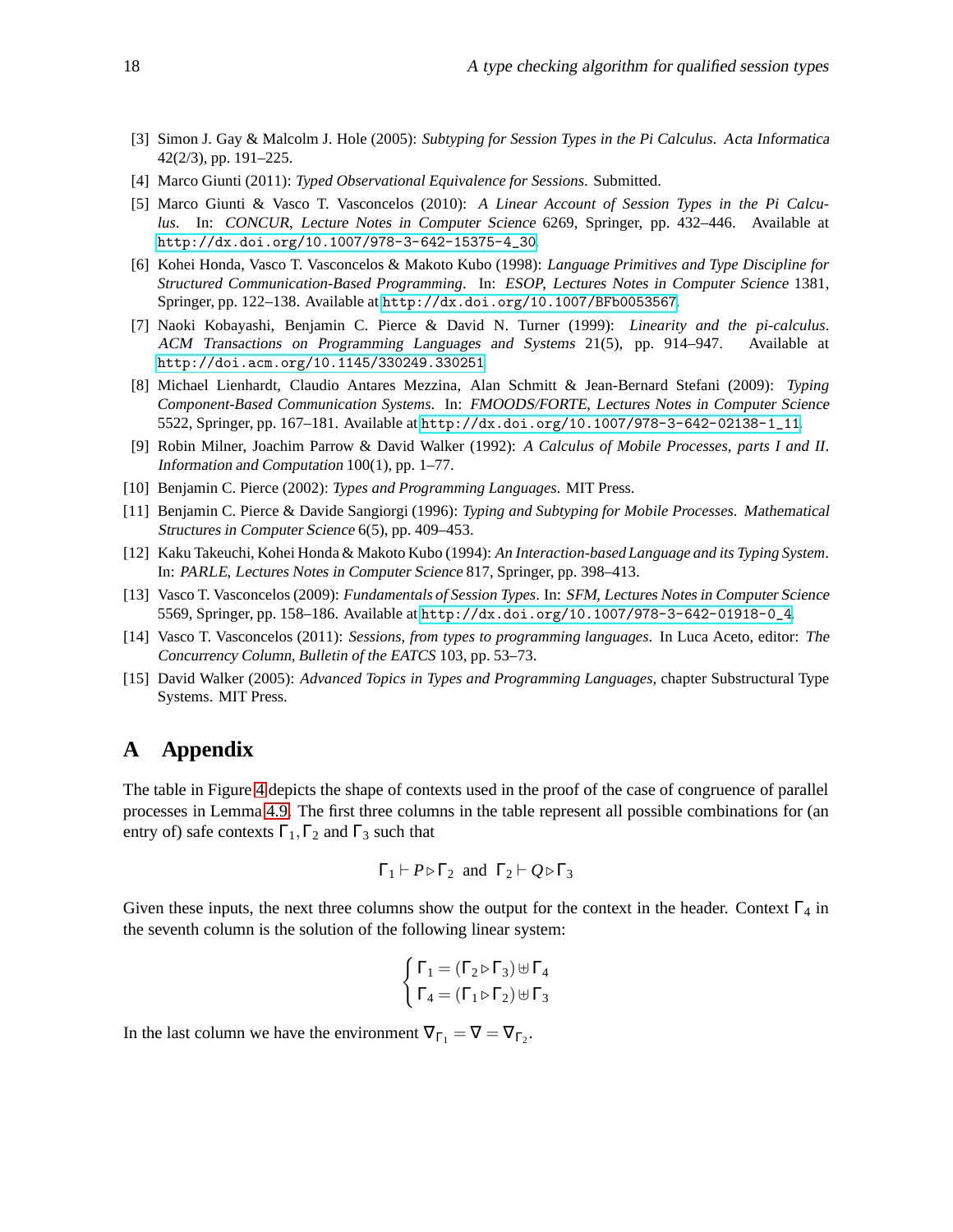- <span id="page-18-7"></span>[3] Simon J. Gay & Malcolm J. Hole (2005): *Subtyping for Session Types in the Pi Calculus*. Acta Informatica 42(2/3), pp. 191–225.
- <span id="page-18-9"></span><span id="page-18-4"></span>[4] Marco Giunti (2011): *Typed Observational Equivalence for Sessions*. Submitted.
- [5] Marco Giunti & Vasco T. Vasconcelos (2010): *A Linear Account of Session Types in the Pi Calculus*. In: CONCUR, Lecture Notes in Computer Science 6269, Springer, pp. 432–446. Available at [http://dx.doi.org/10.1007/978-3-642-15375-4\\_30](http://dx.doi.org/10.1007/978-3-642-15375-4_30).
- <span id="page-18-0"></span>[6] Kohei Honda, Vasco T. Vasconcelos & Makoto Kubo (1998): *Language Primitives and Type Discipline for Structured Communication-Based Programming*. In: ESOP, Lectures Notes in Computer Science 1381, Springer, pp. 122–138. Available at <http://dx.doi.org/10.1007/BFb0053567>.
- <span id="page-18-6"></span>[7] Naoki Kobayashi, Benjamin C. Pierce & David N. Turner (1999): *Linearity and the pi-calculus*. ACM Transactions on Programming Languages and Systems 21(5), pp. 914–947. Available at <http://doi.acm.org/10.1145/330249.330251>.
- <span id="page-18-12"></span>[8] Michael Lienhardt, Claudio Antares Mezzina, Alan Schmitt & Jean-Bernard Stefani (2009): *Typing Component-Based Communication Systems*. In: FMOODS/FORTE, Lectures Notes in Computer Science 5522, Springer, pp. 167–181. Available at [http://dx.doi.org/10.1007/978-3-642-02138-1\\_11](http://dx.doi.org/10.1007/978-3-642-02138-1_11).
- <span id="page-18-2"></span>[9] Robin Milner, Joachim Parrow & David Walker (1992): *A Calculus of Mobile Processes, parts I and II*. Information and Computation 100(1), pp. 1–77.
- <span id="page-18-11"></span><span id="page-18-8"></span>[10] Benjamin C. Pierce (2002): *Types and Programming Languages*. MIT Press.
- [11] Benjamin C. Pierce & Davide Sangiorgi (1996): *Typing and Subtyping for Mobile Processes*. Mathematical Structures in Computer Science 6(5), pp. 409–453.
- <span id="page-18-1"></span>[12] Kaku Takeuchi, Kohei Honda & Makoto Kubo (1994): *An Interaction-based Language and its Typing System*. In: PARLE, Lectures Notes in Computer Science 817, Springer, pp. 398–413.
- <span id="page-18-10"></span>[13] Vasco T. Vasconcelos (2009): *Fundamentals of Session Types*. In: SFM, Lectures Notes in Computer Science 5569, Springer, pp. 158–186. Available at [http://dx.doi.org/10.1007/978-3-642-01918-0\\_4](http://dx.doi.org/10.1007/978-3-642-01918-0_4).
- <span id="page-18-3"></span>[14] Vasco T. Vasconcelos (2011): *Sessions, from types to programming languages*. In Luca Aceto, editor: The Concurrency Column, *Bulletin of the EATCS* 103, pp. 53–73.
- <span id="page-18-5"></span>[15] David Walker (2005): *Advanced Topics in Types and Programming Languages*, chapter Substructural Type Systems. MIT Press.

## **A Appendix**

The table in Figure [4](#page-19-0) depicts the shape of contexts used in the proof of the case of congruence of parallel processes in Lemma [4.9.](#page-13-4) The first three columns in the table represent all possible combinations for (an entry of) safe contexts  $\Gamma_1, \Gamma_2$  and  $\Gamma_3$  such that

$$
\Gamma_1 \vdash P \triangleright \Gamma_2
$$
 and  $\Gamma_2 \vdash Q \triangleright \Gamma_3$ 

Given these inputs, the next three columns show the output for the context in the header. Context  $\Gamma_4$  in the seventh column is the solution of the following linear system:

$$
\begin{cases}\n\Gamma_1 = (\Gamma_2 \triangleright \Gamma_3) \boxplus \Gamma_4 \\
\Gamma_4 = (\Gamma_1 \triangleright \Gamma_2) \boxplus \Gamma_3\n\end{cases}
$$

In the last column we have the environment  $\nabla_{\Gamma_1} = \nabla = \nabla_{\Gamma_2}$ .